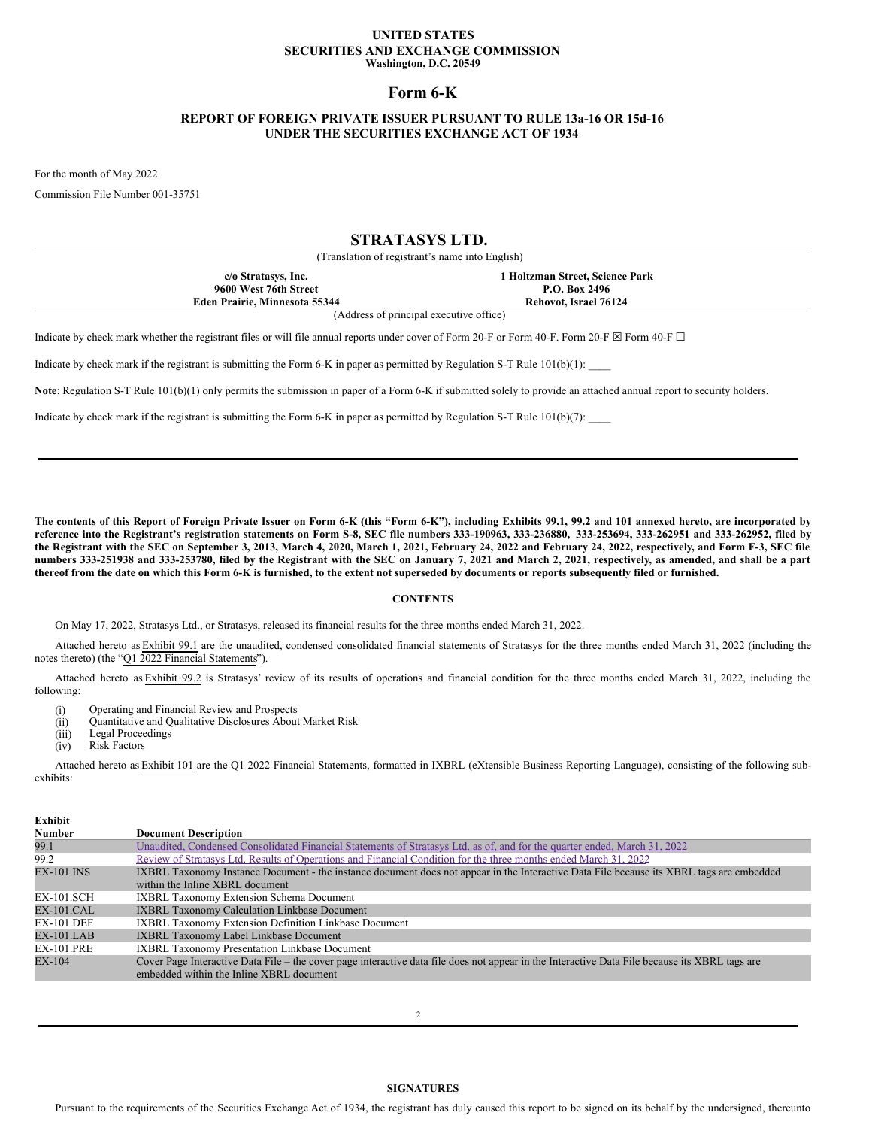## **UNITED STATES SECURITIES AND EXCHANGE COMMISSION Washington, D.C. 20549**

## **Form 6-K**

# **REPORT OF FOREIGN PRIVATE ISSUER PURSUANT TO RULE 13a-16 OR 15d-16 UNDER THE SECURITIES EXCHANGE ACT OF 1934**

For the month of May 2022

Commission File Number 001-35751

## **STRATASYS LTD.**

(Translation of registrant's name into English)

| c/o Stratasys, Inc.           | 1 Holtzman Street. Science Park |  |
|-------------------------------|---------------------------------|--|
| 9600 West 76th Street         | P.O. Box 2496                   |  |
| Eden Prairie. Minnesota 55344 | Rehovot. Israel 76124           |  |
|                               |                                 |  |

(Address of principal executive office)

Indicate by check mark whether the registrant files or will file annual reports under cover of Form 20-F or Form 40-F. Form 20-F ⊠ Form 40-F □

Indicate by check mark if the registrant is submitting the Form 6-K in paper as permitted by Regulation S-T Rule  $101(b)(1)$ :

**Note**: Regulation S-T Rule 101(b)(1) only permits the submission in paper of a Form 6-K if submitted solely to provide an attached annual report to security holders.

Indicate by check mark if the registrant is submitting the Form 6-K in paper as permitted by Regulation S-T Rule  $101(b)(7)$ :

The contents of this Report of Foreign Private Issuer on Form 6-K (this "Form 6-K"), including Exhibits 99.1, 99.2 and 101 annexed hereto, are incorporated by reference into the Registrant's registration statements on Form S-8, SEC file numbers 333-190963, 333-236880, 333-253694, 333-262951 and 333-262952, filed by the Registrant with the SEC on September 3, 2013, March 4, 2020, March 1, 2021, February 24, 2022 and February 24, 2022, respectively, and Form F-3, SEC file numbers 333-251938 and 333-253780, filed by the Registrant with the SEC on January 7, 2021 and March 2, 2021, respectively, as amended, and shall be a part thereof from the date on which this Form 6-K is furnished, to the extent not superseded by documents or reports subsequently filed or furnished.

## **CONTENTS**

On May 17, 2022, Stratasys Ltd., or Stratasys, released its financial results for the three months ended March 31, 2022.

Attached hereto as Exhibit 99.1 are the unaudited, condensed consolidated financial statements of Stratasys for the three months ended March 31, 2022 (including the notes thereto) (the "Q1 2022 Financial Statements").

Attached hereto as Exhibit 99.2 is Stratasys' review of its results of operations and financial condition for the three months ended March 31, 2022, including the following:

- (i) Operating and Financial Review and Prospects
- (ii) Quantitative and Qualitative Disclosures About Market Risk
- (iii) Legal Proceedings
- (iv) Risk Factors

Attached hereto as Exhibit 101 are the Q1 2022 Financial Statements, formatted in IXBRL (eXtensible Business Reporting Language), consisting of the following subexhibits:

## **Exhibit Number Document Description** 99.1 Unaudited, Condensed [Consolidated](#page-7-0) Financial Statements of Stratasys Ltd. as of, and for the quarter ended, March 31, 2022 99.2 Review of Stratasys Ltd. Results of [Operations](#page-16-0) and Financial Condition for the three months ended March 31, 2022 EX-101.INS IXBRL Taxonomy Instance Document - the instance document does not appear in the Interactive Data File because its XBRL tags are embedded within the Inline XBRL document EX-101.SCH IXBRL Taxonomy Extension Schema Document EX-101.CAL IXBRL Taxonomy Calculation Linkbase Document EX-101.DEF IXBRL Taxonomy Extension Definition Linkbase Document EX-101.LAB IXBRL Taxonomy Label Linkbase Document EX-101.PRE IXBRL Taxonomy Presentation Linkbase Document EX-104 Cover Page Interactive Data File – the cover page interactive data file does not appear in the Interactive Data File because its XBRL tags are embedded within the Inline XBRL document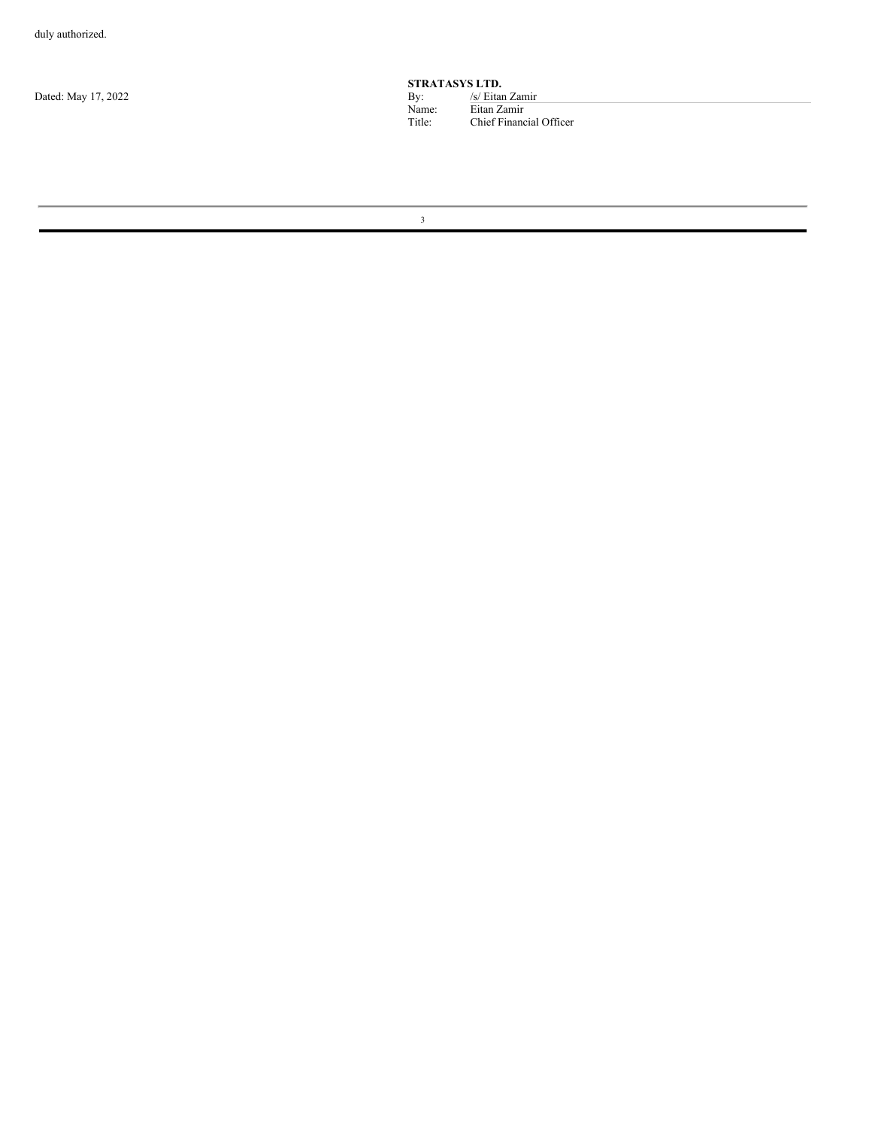Dated: May 17, 2022

**STRATASYS LTD.**<br>By:  $\frac{S}{\text{Eitar}}$ <br>Name: Eitan Za Name: Eitan Zamir Title: Chief Financial Officer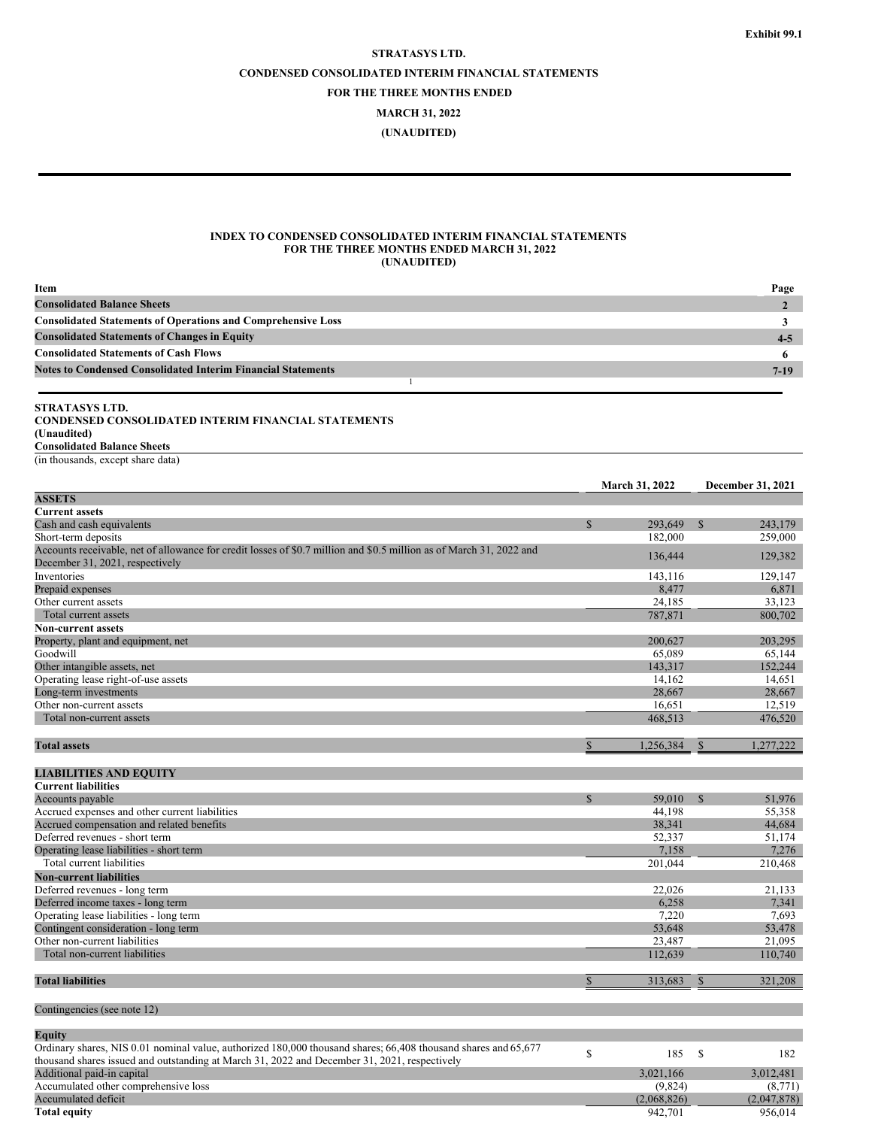# **STRATASYS LTD. CONDENSED CONSOLIDATED INTERIM FINANCIAL STATEMENTS FOR THE THREE MONTHS ENDED**

**MARCH 31, 2022**

**(UNAUDITED)**

## **INDEX TO CONDENSED CONSOLIDATED INTERIM FINANCIAL STATEMENTS FOR THE THREE MONTHS ENDED MARCH 31, 2022 (UNAUDITED)**

| Item                                                                | Page    |
|---------------------------------------------------------------------|---------|
| <b>Consolidated Balance Sheets</b>                                  |         |
| <b>Consolidated Statements of Operations and Comprehensive Loss</b> |         |
| <b>Consolidated Statements of Changes in Equity</b>                 | $4 - 5$ |
| <b>Consolidated Statements of Cash Flows</b>                        |         |
| <b>Notes to Condensed Consolidated Interim Financial Statements</b> | $7-19$  |
|                                                                     |         |

# **STRATASYS LTD.**

## **CONDENSED CONSOLIDATED INTERIM FINANCIAL STATEMENTS (Unaudited)**

**Consolidated Balance Sheets** (in thousands, except share data)

|                                                                                                                     |               | <b>March 31, 2022</b> |               | <b>December 31, 2021</b> |
|---------------------------------------------------------------------------------------------------------------------|---------------|-----------------------|---------------|--------------------------|
| <b>ASSETS</b>                                                                                                       |               |                       |               |                          |
| <b>Current assets</b>                                                                                               |               |                       |               |                          |
| Cash and cash equivalents                                                                                           | $\mathcal{S}$ | 293.649               | $\mathcal{S}$ | 243,179                  |
| Short-term deposits                                                                                                 |               | 182,000               |               | 259,000                  |
| Accounts receivable, net of allowance for credit losses of \$0.7 million and \$0.5 million as of March 31, 2022 and |               | 136,444               |               | 129,382                  |
| December 31, 2021, respectively                                                                                     |               |                       |               |                          |
| Inventories                                                                                                         |               | 143,116               |               | 129,147                  |
| Prepaid expenses                                                                                                    |               | 8,477                 |               | 6,871                    |
| Other current assets                                                                                                |               | 24,185                |               | 33,123                   |
| Total current assets                                                                                                |               | 787,871               |               | 800,702                  |
| <b>Non-current assets</b>                                                                                           |               |                       |               |                          |
| Property, plant and equipment, net                                                                                  |               | 200,627               |               | 203,295                  |
| Goodwill                                                                                                            |               | 65.089                |               | 65.144                   |
| Other intangible assets, net                                                                                        |               | 143,317               |               | 152,244                  |
| Operating lease right-of-use assets                                                                                 |               | 14,162                |               | 14,651                   |
| Long-term investments                                                                                               |               | 28,667                |               | 28,667                   |
| Other non-current assets                                                                                            |               | 16,651                |               | 12,519                   |
| Total non-current assets                                                                                            |               | 468,513               |               | 476,520                  |
|                                                                                                                     |               |                       |               |                          |
| <b>Total assets</b>                                                                                                 | $\mathbb{S}$  | 1,256,384             | $\mathbb{S}$  | 1,277,222                |
|                                                                                                                     |               |                       |               |                          |
| <b>LIABILITIES AND EQUITY</b>                                                                                       |               |                       |               |                          |
| <b>Current liabilities</b>                                                                                          |               |                       |               |                          |
| Accounts payable                                                                                                    | $\mathbb{S}$  | 59,010                | $\mathbb{S}$  | 51,976                   |
| Accrued expenses and other current liabilities                                                                      |               | 44,198                |               | 55,358                   |
| Accrued compensation and related benefits                                                                           |               | 38,341                |               | 44,684                   |
| Deferred revenues - short term                                                                                      |               | 52,337                |               | 51,174                   |
| Operating lease liabilities - short term                                                                            |               | 7,158                 |               | 7,276                    |
| Total current liabilities                                                                                           |               | 201,044               |               | 210,468                  |
| <b>Non-current liabilities</b>                                                                                      |               |                       |               |                          |
| Deferred revenues - long term                                                                                       |               | 22.026                |               | 21,133                   |
| Deferred income taxes - long term                                                                                   |               | 6,258                 |               | 7,341                    |
| Operating lease liabilities - long term                                                                             |               | 7,220                 |               | 7,693                    |
| Contingent consideration - long term                                                                                |               | 53,648                |               | 53,478                   |
| Other non-current liabilities                                                                                       |               | 23,487                |               | 21,095                   |
| Total non-current liabilities                                                                                       |               | 112,639               |               | 110,740                  |
| <b>Total liabilities</b>                                                                                            | $\mathbb{S}$  | 313,683               | $\mathbb{S}$  | 321,208                  |
|                                                                                                                     |               |                       |               |                          |
| Contingencies (see note 12)                                                                                         |               |                       |               |                          |
| <b>Equity</b>                                                                                                       |               |                       |               |                          |
| Ordinary shares, NIS 0.01 nominal value, authorized 180,000 thousand shares; 66,408 thousand shares and 65,677      | \$            | 185                   | S             | 182                      |
| thousand shares issued and outstanding at March 31, 2022 and December 31, 2021, respectively                        |               |                       |               |                          |
| Additional paid-in capital                                                                                          |               | 3,021,166             |               | 3,012,481                |
| Accumulated other comprehensive loss                                                                                |               | (9,824)               |               | (8,771)                  |
| Accumulated deficit                                                                                                 |               | (2,068,826)           |               | (2,047,878)              |
| <b>Total equity</b>                                                                                                 |               | 942,701               |               | 956,014                  |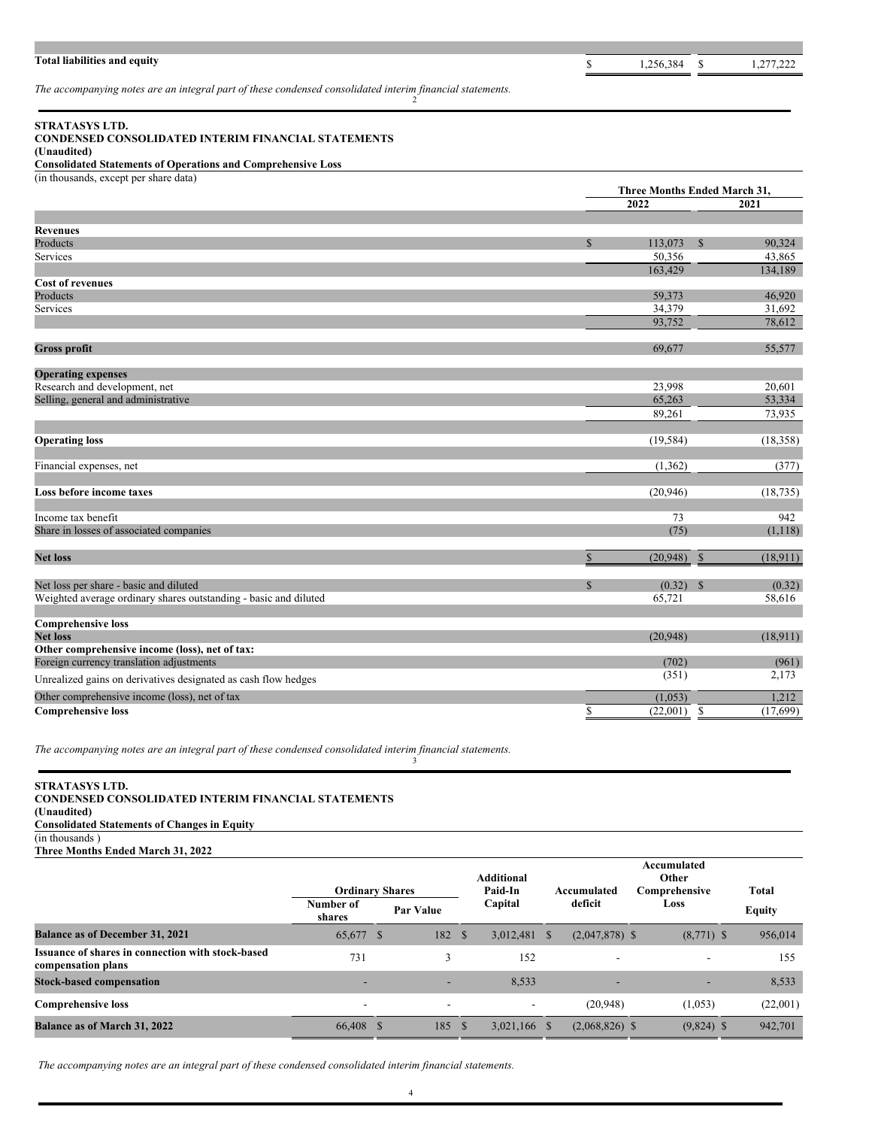# **Total liabilities and equity and g s 1**,277,222 **p s 1**,277,222

*The accompanying notes are an integral part of these condensed consolidated interim financial statements.* 2

# **STRATASYS LTD.**

## **CONDENSED CONSOLIDATED INTERIM FINANCIAL STATEMENTS**

## **(Unaudited) Consolidated Statements of Operations and Comprehensive Loss**

(in thousands, except per share data)

|                                                                  | Three Months Ended March 31, |             |              |           |
|------------------------------------------------------------------|------------------------------|-------------|--------------|-----------|
|                                                                  |                              | 2022        |              | 2021      |
|                                                                  |                              |             |              |           |
| <b>Revenues</b>                                                  |                              |             |              |           |
| Products                                                         | $\mathbb{S}$                 | 113,073     | $\mathbf S$  | 90.324    |
| Services                                                         |                              | 50,356      |              | 43,865    |
|                                                                  |                              | 163,429     |              | 134,189   |
| <b>Cost of revenues</b>                                          |                              |             |              |           |
| Products                                                         |                              | 59,373      |              | 46,920    |
| Services                                                         |                              | 34,379      |              | 31,692    |
|                                                                  |                              | 93,752      |              | 78,612    |
| <b>Gross profit</b>                                              |                              | 69,677      |              | 55,577    |
|                                                                  |                              |             |              |           |
| <b>Operating expenses</b>                                        |                              |             |              |           |
| Research and development, net                                    |                              | 23,998      |              | 20,601    |
| Selling, general and administrative                              |                              | 65,263      |              | 53,334    |
|                                                                  |                              | 89,261      |              | 73,935    |
| <b>Operating loss</b>                                            |                              | (19, 584)   |              | (18, 358) |
| Financial expenses, net                                          |                              | (1,362)     |              | (377)     |
|                                                                  |                              |             |              |           |
| Loss before income taxes                                         |                              | (20, 946)   |              | (18, 735) |
| Income tax benefit                                               |                              | 73          |              | 942       |
| Share in losses of associated companies                          |                              | (75)        |              | (1,118)   |
| <b>Net loss</b>                                                  | \$                           | (20, 948)   | $\mathbb{S}$ | (18, 911) |
|                                                                  |                              |             |              |           |
| Net loss per share - basic and diluted                           | $\mathbb{S}$                 | $(0.32)$ \$ |              | (0.32)    |
| Weighted average ordinary shares outstanding - basic and diluted |                              | 65,721      |              | 58,616    |
| <b>Comprehensive loss</b>                                        |                              |             |              |           |
| <b>Net loss</b>                                                  |                              | (20,948)    |              | (18,911)  |
| Other comprehensive income (loss), net of tax:                   |                              |             |              |           |
| Foreign currency translation adjustments                         |                              | (702)       |              | (961)     |
| Unrealized gains on derivatives designated as cash flow hedges   |                              | (351)       |              | 2,173     |
| Other comprehensive income (loss), net of tax                    |                              | (1,053)     |              | 1,212     |
| <b>Comprehensive loss</b>                                        | \$                           | (22,001)    | \$           | (17,699)  |

*The accompanying notes are an integral part of these condensed consolidated interim financial statements.* 3

## **STRATASYS LTD. CONDENSED CONSOLIDATED INTERIM FINANCIAL STATEMENTS (Unaudited) Consolidated Statements of Changes in Equity** (in thousands ) **Three Months Ended March 31, 2022**

|  | Three Months Ended March 31, 2022 |  |
|--|-----------------------------------|--|
|  |                                   |  |

|                                                                         | <b>Ordinary Shares</b>   |                          |         | <b>Additional</b><br>Paid-In |    | Accumulated              |  | Accumulated<br>Other<br>Comprehensive | <b>Total</b> |  |      |  |               |  |
|-------------------------------------------------------------------------|--------------------------|--------------------------|---------|------------------------------|----|--------------------------|--|---------------------------------------|--------------|--|------|--|---------------|--|
|                                                                         | Number of<br>shares      | Par Value                | Capital |                              |    |                          |  |                                       | deficit      |  | Loss |  | <b>Equity</b> |  |
| <b>Balance as of December 31, 2021</b>                                  | 65,677 \$                | 182 \$                   |         | 3,012,481                    | -S | $(2,047,878)$ \$         |  | $(8,771)$ \$                          | 956,014      |  |      |  |               |  |
| Issuance of shares in connection with stock-based<br>compensation plans | 731                      | 3                        |         | 152                          |    | -                        |  | $\overline{\phantom{a}}$              | 155          |  |      |  |               |  |
| <b>Stock-based compensation</b>                                         | -                        | -                        |         | 8,533                        |    | $\overline{\phantom{0}}$ |  | $\overline{\phantom{a}}$              | 8,533        |  |      |  |               |  |
| <b>Comprehensive loss</b>                                               | $\overline{\phantom{a}}$ | $\overline{\phantom{a}}$ |         | $\overline{\phantom{a}}$     |    | (20, 948)                |  | (1,053)                               | (22,001)     |  |      |  |               |  |
| <b>Balance as of March 31, 2022</b>                                     | 66,408 \$                | 185                      | - S     | $3,021,166$ \$               |    | $(2,068,826)$ \$         |  | $(9,824)$ \$                          | 942,701      |  |      |  |               |  |

*The accompanying notes are an integral part of these condensed consolidated interim financial statements.*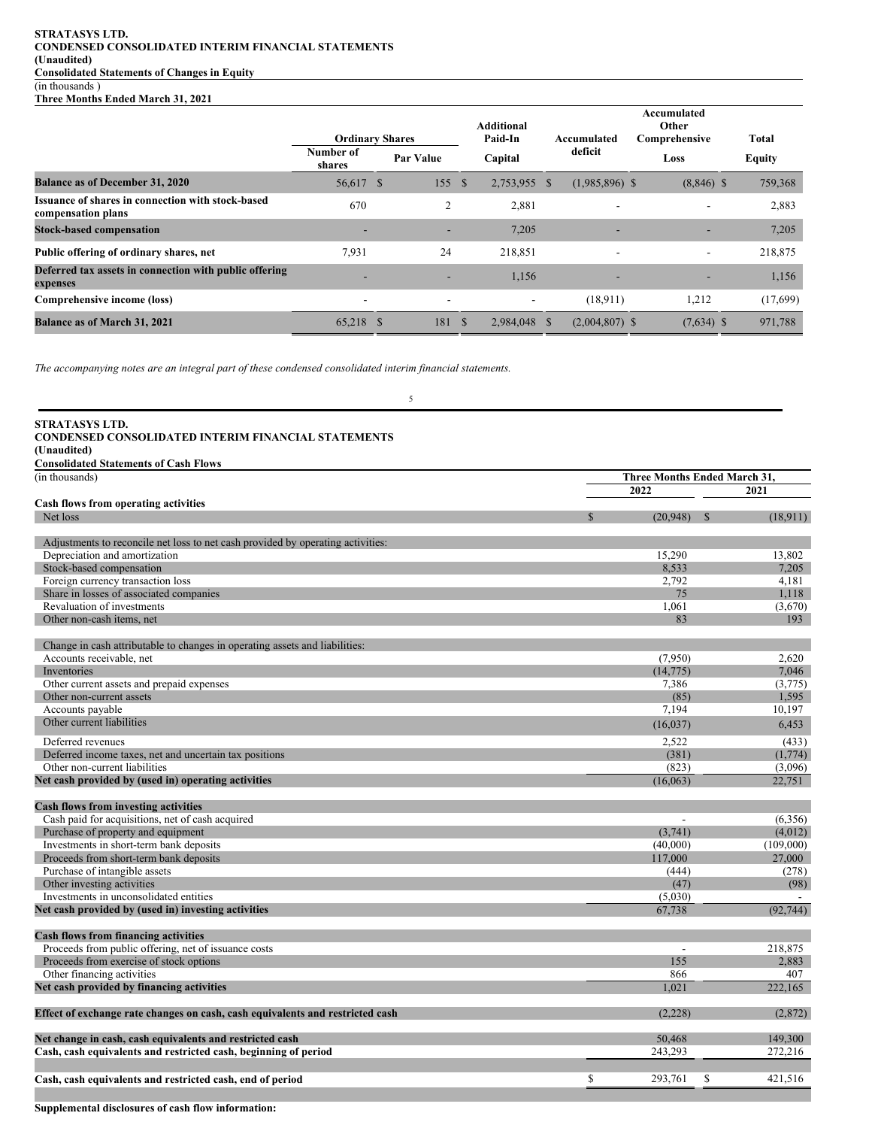## **STRATASYS LTD. CONDENSED CONSOLIDATED INTERIM FINANCIAL STATEMENTS (Unaudited) Consolidated Statements of Changes in Equity** (in thousands )

**Three Months Ended March 31, 2021**

|                                                                         | <b>Ordinary Shares</b> |              |           |              | <b>Additional</b><br>Paid-In |    | Accumulated              |      | Accumulated<br>Other<br>Comprehensive | Total         |
|-------------------------------------------------------------------------|------------------------|--------------|-----------|--------------|------------------------------|----|--------------------------|------|---------------------------------------|---------------|
|                                                                         | Number of<br>shares    |              | Par Value |              | Capital                      |    | deficit                  | Loss |                                       | <b>Equity</b> |
| <b>Balance as of December 31, 2020</b>                                  | 56,617                 | <sup>S</sup> | 155       | <sup>S</sup> | 2,753,955                    | -S | $(1,985,896)$ \$         |      | $(8,846)$ \$                          | 759,368       |
| Issuance of shares in connection with stock-based<br>compensation plans | 670                    |              | 2         |              | 2,881                        |    |                          |      | $\overline{\phantom{0}}$              | 2,883         |
| <b>Stock-based compensation</b>                                         | -                      |              | -         |              | 7,205                        |    |                          |      | -                                     | 7,205         |
| Public offering of ordinary shares, net                                 | 7,931                  |              | 24        |              | 218,851                      |    | $\overline{\phantom{a}}$ |      | $\overline{\phantom{a}}$              | 218,875       |
| Deferred tax assets in connection with public offering<br>expenses      |                        |              |           |              | 1,156                        |    |                          |      |                                       | 1,156         |
| Comprehensive income (loss)                                             |                        |              |           |              | $\overline{\phantom{a}}$     |    | (18, 911)                |      | 1,212                                 | (17,699)      |
| <b>Balance as of March 31, 2021</b>                                     | 65,218 \$              |              | 181       | - \$         | 2,984,048                    | -S | $(2,004,807)$ \$         |      | $(7,634)$ \$                          | 971,788       |

5

*The accompanying notes are an integral part of these condensed consolidated interim financial statements.*

| <b>STRATASYS LTD.</b>                                                           |               |                          |                              |           |
|---------------------------------------------------------------------------------|---------------|--------------------------|------------------------------|-----------|
| <b>CONDENSED CONSOLIDATED INTERIM FINANCIAL STATEMENTS</b>                      |               |                          |                              |           |
| (Unaudited)                                                                     |               |                          |                              |           |
| <b>Consolidated Statements of Cash Flows</b>                                    |               |                          |                              |           |
| (in thousands)                                                                  |               |                          | Three Months Ended March 31, |           |
|                                                                                 | 2022          |                          | 2021                         |           |
| Cash flows from operating activities                                            |               |                          |                              |           |
| Net loss                                                                        | <sup>\$</sup> | (20,948)                 | <sup>S</sup>                 | (18,911)  |
|                                                                                 |               |                          |                              |           |
| Adjustments to reconcile net loss to net cash provided by operating activities: |               |                          |                              |           |
| Depreciation and amortization                                                   |               | 15,290                   |                              | 13,802    |
| Stock-based compensation                                                        |               | 8.533                    |                              | 7.205     |
| Foreign currency transaction loss                                               |               | 2,792                    |                              | 4,181     |
| Share in losses of associated companies                                         |               | 75                       |                              | 1,118     |
| Revaluation of investments                                                      |               | 1.061                    |                              | (3,670)   |
| Other non-cash items, net                                                       |               | 83                       |                              | 193       |
|                                                                                 |               |                          |                              |           |
| Change in cash attributable to changes in operating assets and liabilities:     |               |                          |                              |           |
| Accounts receivable, net                                                        |               | (7,950)                  |                              | 2,620     |
| Inventories                                                                     |               | (14, 775)                |                              | 7,046     |
| Other current assets and prepaid expenses                                       |               | 7,386                    |                              | (3,775)   |
| Other non-current assets                                                        |               | (85)                     |                              | 1,595     |
| Accounts payable                                                                |               | 7,194                    |                              | 10,197    |
| Other current liabilities                                                       |               | (16,037)                 |                              | 6,453     |
| Deferred revenues                                                               |               | 2,522                    |                              | (433)     |
| Deferred income taxes, net and uncertain tax positions                          |               | (381)                    |                              | (1,774)   |
| Other non-current liabilities                                                   |               | (823)                    |                              | (3,096)   |
| Net cash provided by (used in) operating activities                             |               | (16,063)                 |                              | 22,751    |
| <b>Cash flows from investing activities</b>                                     |               |                          |                              |           |
| Cash paid for acquisitions, net of cash acquired                                |               | $\overline{\phantom{a}}$ |                              | (6,356)   |
| Purchase of property and equipment                                              |               | (3,741)                  |                              | (4,012)   |
| Investments in short-term bank deposits                                         |               | (40,000)                 |                              | (109,000) |
| Proceeds from short-term bank deposits                                          |               | 117,000                  |                              | 27,000    |
| Purchase of intangible assets                                                   |               | (444)                    |                              | (278)     |
| Other investing activities                                                      |               | (47)                     |                              | (98)      |
| Investments in unconsolidated entities                                          |               | (5,030)                  |                              |           |
| Net cash provided by (used in) investing activities                             |               | 67,738                   |                              | (92, 744) |
| Cash flows from financing activities                                            |               |                          |                              |           |
| Proceeds from public offering, net of issuance costs                            |               |                          |                              | 218,875   |
| Proceeds from exercise of stock options                                         |               | 155                      |                              | 2,883     |
| Other financing activities                                                      |               | 866                      |                              | 407       |
| Net cash provided by financing activities                                       |               | 1,021                    |                              | 222,165   |
|                                                                                 |               |                          |                              |           |
| Effect of exchange rate changes on cash, cash equivalents and restricted cash   |               | (2,228)                  |                              | (2,872)   |
|                                                                                 |               |                          |                              | 149,300   |
| Net change in cash, cash equivalents and restricted cash                        |               | 50,468<br>243,293        |                              | 272,216   |
| Cash, cash equivalents and restricted cash, beginning of period                 |               |                          |                              |           |
| Cash, cash equivalents and restricted cash, end of period                       | $\mathbb{S}$  | 293,761                  | S                            | 421,516   |

**Supplemental disclosures of cash flow information:**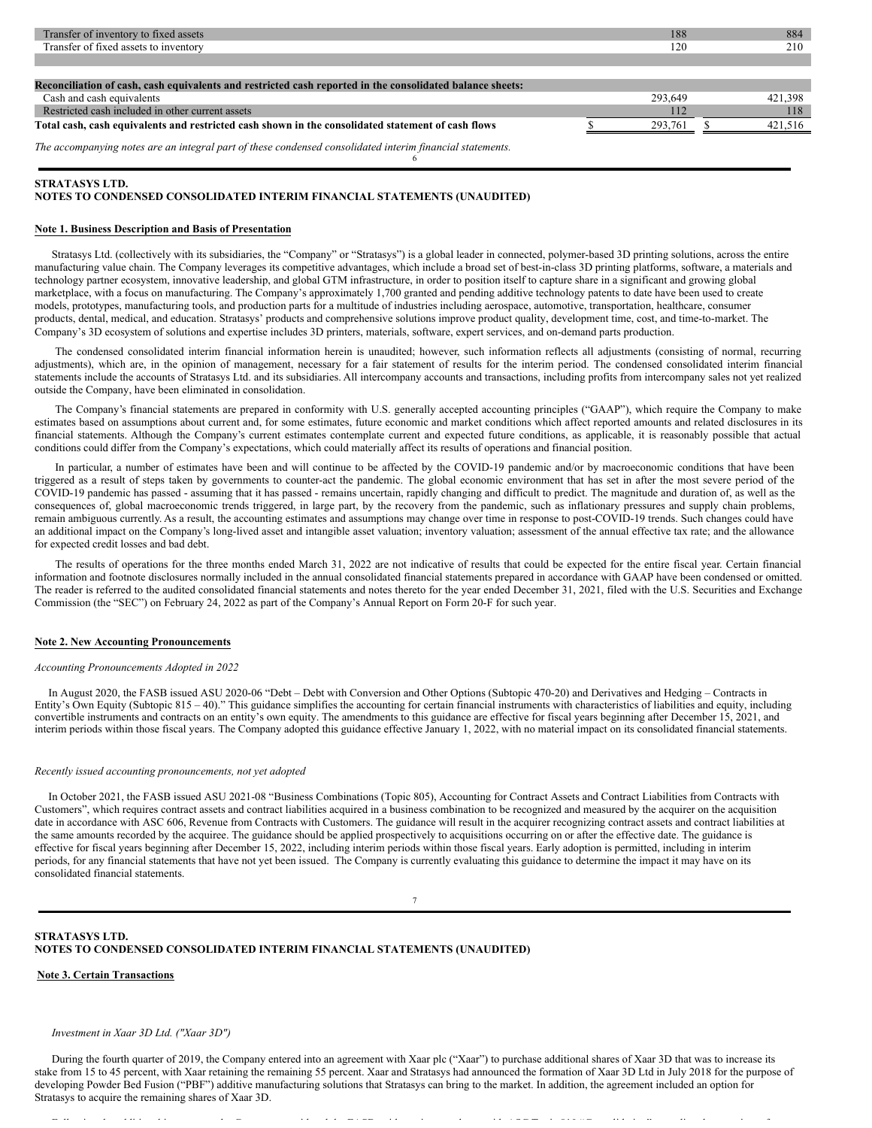| Transfer of inventory to fixed assets                                                                     | 188     | 884     |
|-----------------------------------------------------------------------------------------------------------|---------|---------|
| Transfer of fixed assets to inventory                                                                     | 120     | 210     |
|                                                                                                           |         |         |
|                                                                                                           |         |         |
| Reconciliation of cash, cash equivalents and restricted cash reported in the consolidated balance sheets: |         |         |
| Cash and cash equivalents                                                                                 | 293,649 | 421.398 |
| Restricted cash included in other current assets                                                          | 112     | 118     |
| Total cash, cash equivalents and restricted cash shown in the consolidated statement of cash flows        | 293.761 | 421,516 |
| The accompanying notes are an integral part of these condensed consolidated interim financial statements. |         |         |
|                                                                                                           |         |         |

## **NOTES TO CONDENSED CONSOLIDATED INTERIM FINANCIAL STATEMENTS (UNAUDITED)**

## **Note 1. Business Description and Basis of Presentation**

**STRATASYS LTD.**

Stratasys Ltd. (collectively with its subsidiaries, the "Company" or "Stratasys") is a global leader in connected, polymer-based 3D printing solutions, across the entire manufacturing value chain. The Company leverages its competitive advantages, which include a broad set of best-in-class 3D printing platforms, software, a materials and technology partner ecosystem, innovative leadership, and global GTM infrastructure, in order to position itself to capture share in a significant and growing global marketplace, with a focus on manufacturing. The Company's approximately 1,700 granted and pending additive technology patents to date have been used to create models, prototypes, manufacturing tools, and production parts for a multitude of industries including aerospace, automotive, transportation, healthcare, consumer products, dental, medical, and education. Stratasys' products and comprehensive solutions improve product quality, development time, cost, and time-to-market. The Company's 3D ecosystem of solutions and expertise includes 3D printers, materials, software, expert services, and on-demand parts production.

The condensed consolidated interim financial information herein is unaudited; however, such information reflects all adjustments (consisting of normal, recurring adjustments), which are, in the opinion of management, necessary for a fair statement of results for the interim period. The condensed consolidated interim financial statements include the accounts of Stratasys Ltd. and its subsidiaries. All intercompany accounts and transactions, including profits from intercompany sales not yet realized outside the Company, have been eliminated in consolidation.

The Company's financial statements are prepared in conformity with U.S. generally accepted accounting principles ("GAAP"), which require the Company to make estimates based on assumptions about current and, for some estimates, future economic and market conditions which affect reported amounts and related disclosures in its financial statements. Although the Company's current estimates contemplate current and expected future conditions, as applicable, it is reasonably possible that actual conditions could differ from the Company's expectations, which could materially affect its results of operations and financial position.

In particular, a number of estimates have been and will continue to be affected by the COVID-19 pandemic and/or by macroeconomic conditions that have been triggered as a result of steps taken by governments to counter-act the pandemic. The global economic environment that has set in after the most severe period of the COVID-19 pandemic has passed - assuming that it has passed - remains uncertain, rapidly changing and difficult to predict. The magnitude and duration of, as well as the consequences of, global macroeconomic trends triggered, in large part, by the recovery from the pandemic, such as inflationary pressures and supply chain problems, remain ambiguous currently. As a result, the accounting estimates and assumptions may change over time in response to post-COVID-19 trends. Such changes could have an additional impact on the Company's long-lived asset and intangible asset valuation; inventory valuation; assessment of the annual effective tax rate; and the allowance for expected credit losses and bad debt.

The results of operations for the three months ended March 31, 2022 are not indicative of results that could be expected for the entire fiscal year. Certain financial information and footnote disclosures normally included in the annual consolidated financial statements prepared in accordance with GAAP have been condensed or omitted. The reader is referred to the audited consolidated financial statements and notes thereto for the year ended December 31, 2021, filed with the U.S. Securities and Exchange Commission (the "SEC") on February 24, 2022 as part of the Company's Annual Report on Form 20-F for such year.

#### **Note 2. New Accounting Pronouncements**

#### *Accounting Pronouncements Adopted in 2022*

In August 2020, the FASB issued ASU 2020-06 "Debt – Debt with Conversion and Other Options (Subtopic 470-20) and Derivatives and Hedging – Contracts in Entity's Own Equity (Subtopic 815 – 40)." This guidance simplifies the accounting for certain financial instruments with characteristics of liabilities and equity, including convertible instruments and contracts on an entity's own equity. The amendments to this guidance are effective for fiscal years beginning after December 15, 2021, and interim periods within those fiscal years. The Company adopted this guidance effective January 1, 2022, with no material impact on its consolidated financial statements.

#### *Recently issued accounting pronouncements, not yet adopted*

In October 2021, the FASB issued ASU 2021-08 "Business Combinations (Topic 805), Accounting for Contract Assets and Contract Liabilities from Contracts with Customers", which requires contract assets and contract liabilities acquired in a business combination to be recognized and measured by the acquirer on the acquisition date in accordance with ASC 606, Revenue from Contracts with Customers. The guidance will result in the acquirer recognizing contract assets and contract liabilities at the same amounts recorded by the acquiree. The guidance should be applied prospectively to acquisitions occurring on or after the effective date. The guidance is effective for fiscal years beginning after December 15, 2022, including interim periods within those fiscal years. Early adoption is permitted, including in interim periods, for any financial statements that have not yet been issued. The Company is currently evaluating this guidance to determine the impact it may have on its consolidated financial statements.

#### 7

#### **STRATASYS LTD. NOTES TO CONDENSED CONSOLIDATED INTERIM FINANCIAL STATEMENTS (UNAUDITED)**

#### **Note 3. Certain Transactions**

## *Investment in Xaar 3D Ltd. ("Xaar 3D")*

During the fourth quarter of 2019, the Company entered into an agreement with Xaar plc ("Xaar") to purchase additional shares of Xaar 3D that was to increase its stake from 15 to 45 percent, with Xaar retaining the remaining 55 percent. Xaar and Stratasys had announced the formation of Xaar 3D Ltd in July 2018 for the purpose of developing Powder Bed Fusion ("PBF") additive manufacturing solutions that Stratasys can bring to the market. In addition, the agreement included an option for Stratasys to acquire the remaining shares of Xaar 3D.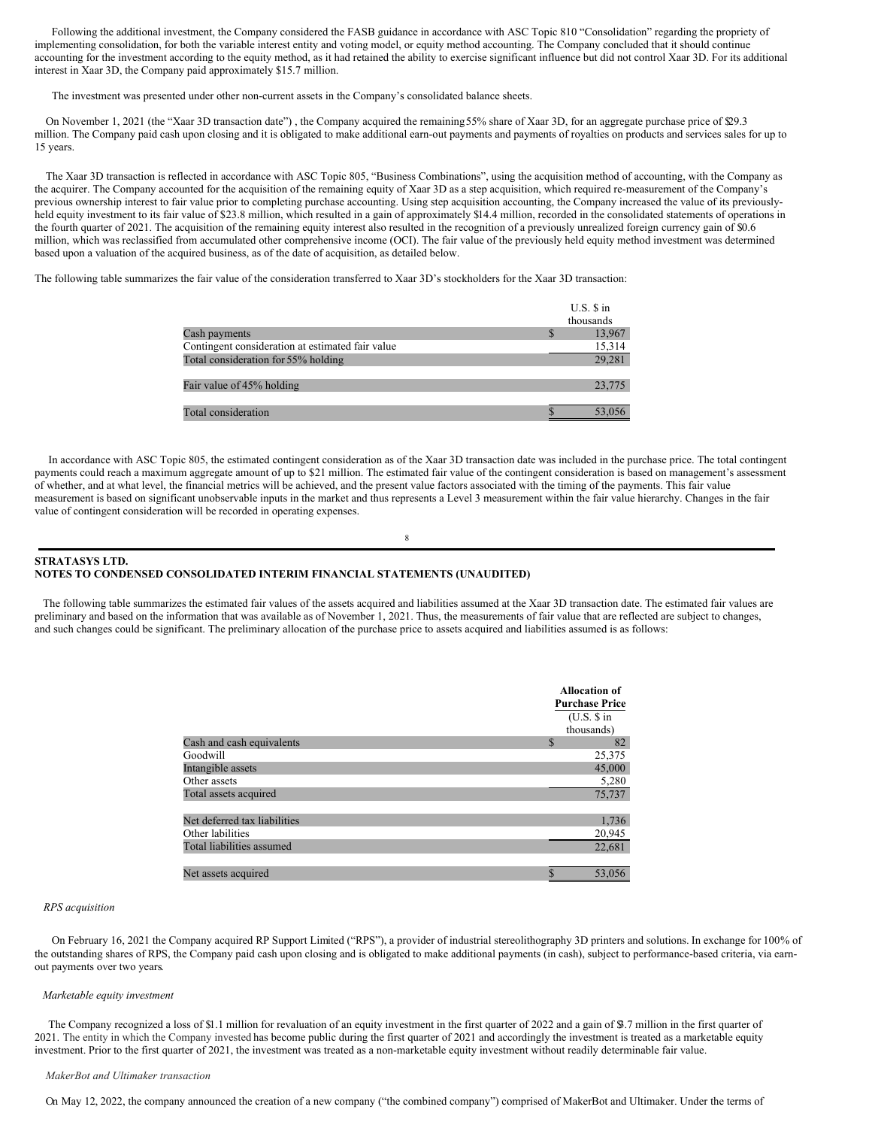Following the additional investment, the Company considered the FASB guidance in accordance with ASC Topic 810 "Consolidation" regarding the propriety of implementing consolidation, for both the variable interest entity and voting model, or equity method accounting. The Company concluded that it should continue accounting for the investment according to the equity method, as it had retained the ability to exercise significant influence but did not control Xaar 3D. For its additional interest in Xaar 3D, the Company paid approximately \$15.7 million.

The investment was presented under other non-current assets in the Company's consolidated balance sheets.

On November 1, 2021 (the "Xaar 3D transaction date"), the Company acquired the remaining 55% share of Xaar 3D, for an aggregate purchase price of \$29.3 million. The Company paid cash upon closing and it is obligated to make additional earn-out payments and payments of royalties on products and services sales for up to 15 years.

The Xaar 3D transaction is reflected in accordance with ASC Topic 805, "Business Combinations", using the acquisition method of accounting, with the Company as the acquirer. The Company accounted for the acquisition of the remaining equity of Xaar 3D as a step acquisition, which required re-measurement of the Company's previous ownership interest to fair value prior to completing purchase accounting. Using step acquisition accounting, the Company increased the value of its previouslyheld equity investment to its fair value of \$23.8 million, which resulted in a gain of approximately \$14.4 million, recorded in the consolidated statements of operations in the fourth quarter of 2021. The acquisition of the remaining equity interest also resulted in the recognition of a previously unrealized foreign currency gain of \$0.6 million, which was reclassified from accumulated other comprehensive income (OCI). The fair value of the previously held equity method investment was determined based upon a valuation of the acquired business, as of the date of acquisition, as detailed below.

The following table summarizes the fair value of the consideration transferred to Xaar 3D's stockholders for the Xaar 3D transaction:

|                                                  | $U.S.$ S in |
|--------------------------------------------------|-------------|
|                                                  | thousands   |
| Cash payments                                    | 13,967      |
| Contingent consideration at estimated fair value | 15,314      |
| Total consideration for 55% holding              | 29,281      |
| Fair value of 45% holding                        | 23,775      |
| Total consideration                              | 53,056      |

In accordance with ASC Topic 805, the estimated contingent consideration as of the Xaar 3D transaction date was included in the purchase price. The total contingent payments could reach a maximum aggregate amount of up to \$21 million. The estimated fair value of the contingent consideration is based on management's assessment of whether, and at what level, the financial metrics will be achieved, and the present value factors associated with the timing of the payments. This fair value measurement is based on significant unobservable inputs in the market and thus represents a Level 3 measurement within the fair value hierarchy. Changes in the fair value of contingent consideration will be recorded in operating expenses.

8

## **STRATASYS LTD. NOTES TO CONDENSED CONSOLIDATED INTERIM FINANCIAL STATEMENTS (UNAUDITED)**

The following table summarizes the estimated fair values of the assets acquired and liabilities assumed at the Xaar 3D transaction date. The estimated fair values are preliminary and based on the information that was available as of November 1, 2021. Thus, the measurements of fair value that are reflected are subject to changes, and such changes could be significant. The preliminary allocation of the purchase price to assets acquired and liabilities assumed is as follows:

|                              | <b>Allocation of</b><br><b>Purchase Price</b><br>(U.S. \$in<br>thousands) |
|------------------------------|---------------------------------------------------------------------------|
| Cash and cash equivalents    | 82<br>S.                                                                  |
| Goodwill                     | 25,375                                                                    |
| Intangible assets            | 45,000                                                                    |
| Other assets                 | 5,280                                                                     |
| Total assets acquired        | 75,737                                                                    |
|                              |                                                                           |
| Net deferred tax liabilities | 1,736                                                                     |
| Other labilities             | 20,945                                                                    |
| Total liabilities assumed    | 22,681                                                                    |
|                              |                                                                           |
| Net assets acquired          | 53,056                                                                    |

## *RPS acquisition*

On February 16, 2021 the Company acquired RP Support Limited ("RPS"), a provider of industrial stereolithography 3D printers and solutions. In exchange for 100% of the outstanding shares of RPS, the Company paid cash upon closing and is obligated to make additional payments (in cash), subject to performance-based criteria, via earnout payments over two years.

#### *Marketable equity investment*

The Company recognized a loss of \$1.1 million for revaluation of an equity investment in the first quarter of 2022 and a gain of \$3.7 million in the first quarter of 2021. The entity in which the Company invested has become public during the first quarter of 2021 and accordingly the investment is treated as a marketable equity investment. Prior to the first quarter of 2021, the investment was treated as a non-marketable equity investment without readily determinable fair value.

#### *MakerBot and Ultimaker transaction*

On May 12, 2022, the company announced the creation of a new company ("the combined company") comprised of MakerBot and Ultimaker. Under the terms of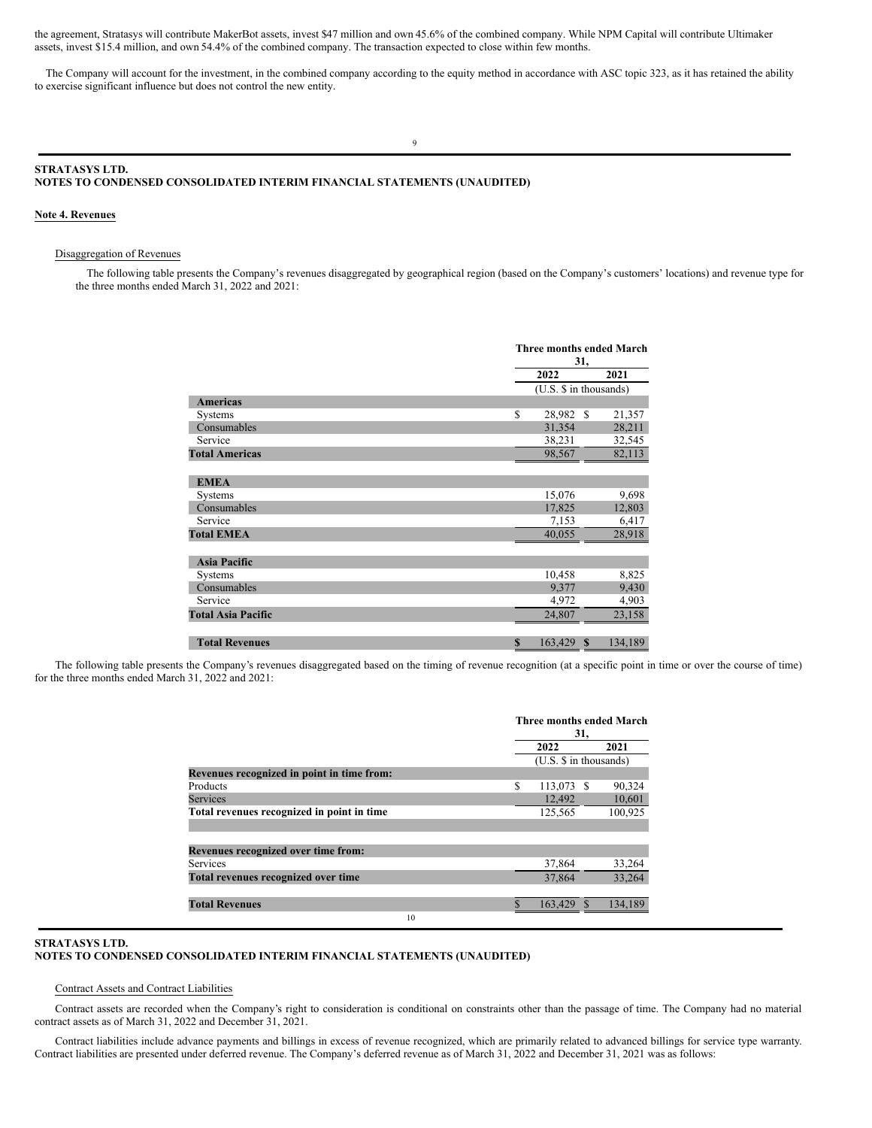<span id="page-7-0"></span>the agreement, Stratasys will contribute MakerBot assets, invest \$47 million and own 45.6% of the combined company. While NPM Capital will contribute Ultimaker assets, invest \$15.4 million, and own 54.4% of the combined company. The transaction expected to close within few months.

The Company will account for the investment, in the combined company according to the equity method in accordance with ASC topic 323, as it has retained the ability to exercise significant influence but does not control the new entity.

9

## **STRATASYS LTD. NOTES TO CONDENSED CONSOLIDATED INTERIM FINANCIAL STATEMENTS (UNAUDITED)**

## **Note 4. Revenues**

### Disaggregation of Revenues

The following table presents the Company's revenues disaggregated by geographical region (based on the Company's customers' locations) and revenue type for the three months ended March 31, 2022 and 2021:

|                           |             | Three months ended March<br>31, |               |         |  |  |
|---------------------------|-------------|---------------------------------|---------------|---------|--|--|
|                           |             | 2021<br>2022                    |               |         |  |  |
|                           |             | (U.S. \$ in thousands)          |               |         |  |  |
| <b>Americas</b>           |             |                                 |               |         |  |  |
| Systems                   | \$          | 28,982                          | <sup>\$</sup> | 21,357  |  |  |
| Consumables               |             | 31,354                          |               | 28,211  |  |  |
| Service                   |             | 38,231                          |               | 32,545  |  |  |
| <b>Total Americas</b>     |             | 98,567                          |               | 82,113  |  |  |
| <b>EMEA</b>               |             |                                 |               |         |  |  |
| Systems                   |             | 15,076                          |               | 9,698   |  |  |
| Consumables               |             | 17,825                          |               | 12,803  |  |  |
| Service                   |             | 7,153                           |               | 6,417   |  |  |
| <b>Total EMEA</b>         |             | 40,055                          |               | 28,918  |  |  |
| <b>Asia Pacific</b>       |             |                                 |               |         |  |  |
| Systems                   |             | 10,458                          |               | 8,825   |  |  |
| Consumables               |             | 9,377                           |               | 9,430   |  |  |
| Service                   |             | 4,972                           |               | 4,903   |  |  |
| <b>Total Asia Pacific</b> |             | 24,807                          |               | 23,158  |  |  |
| <b>Total Revenues</b>     | $\mathbf S$ | 163,429                         | $\mathbf{s}$  | 134,189 |  |  |

The following table presents the Company's revenues disaggregated based on the timing of revenue recognition (at a specific point in time or over the course of time) for the three months ended March 31, 2022 and 2021:

|                                            |             | Three months ended March<br>31, |                        |  |  |  |  |
|--------------------------------------------|-------------|---------------------------------|------------------------|--|--|--|--|
|                                            |             | 2022                            | 2021                   |  |  |  |  |
|                                            |             |                                 | (U.S. \$ in thousands) |  |  |  |  |
| Revenues recognized in point in time from: |             |                                 |                        |  |  |  |  |
| Products                                   | S           | 113,073                         | 90,324<br>-S           |  |  |  |  |
| Services                                   |             | 12,492                          | 10,601                 |  |  |  |  |
| Total revenues recognized in point in time |             | 125,565                         | 100,925                |  |  |  |  |
|                                            |             |                                 |                        |  |  |  |  |
| Revenues recognized over time from:        |             |                                 |                        |  |  |  |  |
| <b>Services</b>                            |             | 37,864                          | 33,264                 |  |  |  |  |
| Total revenues recognized over time        |             | 37,864                          | 33.264                 |  |  |  |  |
| <b>Total Revenues</b>                      | $\mathbf S$ | 163,429                         | 134.189                |  |  |  |  |
| 10                                         |             |                                 |                        |  |  |  |  |

## **STRATASYS LTD.**

# **NOTES TO CONDENSED CONSOLIDATED INTERIM FINANCIAL STATEMENTS (UNAUDITED)**

## Contract Assets and Contract Liabilities

Contract assets are recorded when the Company's right to consideration is conditional on constraints other than the passage of time. The Company had no material contract assets as of March 31, 2022 and December 31, 2021.

Contract liabilities include advance payments and billings in excess of revenue recognized, which are primarily related to advanced billings for service type warranty. Contract liabilities are presented under deferred revenue. The Company's deferred revenue as of March 31, 2022 and December 31, 2021 was as follows: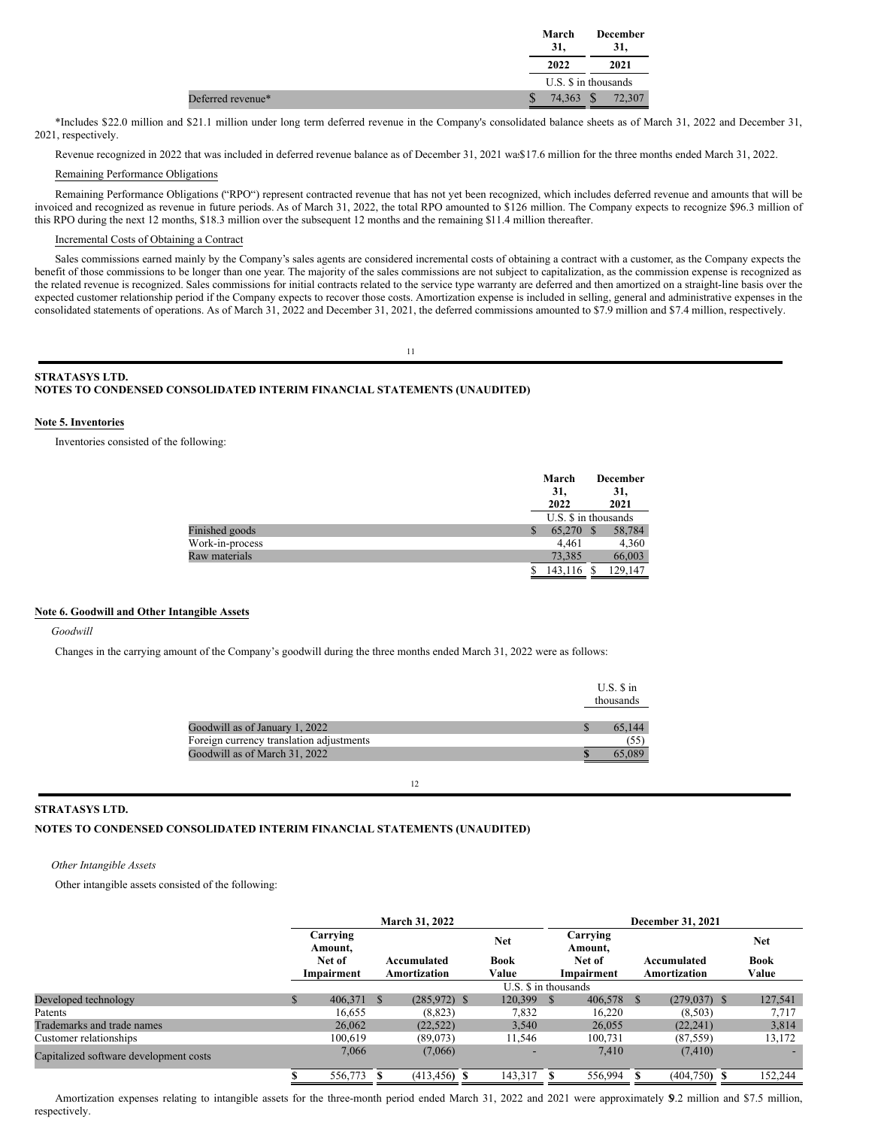|  | March<br>31. | <b>December</b><br>31. |
|--|--------------|------------------------|
|  | 2022         | 2021                   |
|  |              | U.S. \$ in thousands   |
|  |              | 74,363 \$ 72,307       |

\*Includes \$22.0 million and \$21.1 million under long term deferred revenue in the Company's consolidated balance sheets as of March 31, 2022 and December 31, 2021, respectively.

Revenue recognized in 2022 that was included in deferred revenue balance as of December 31, 2021 was\$17.6 million for the three months ended March 31, 2022.

## Remaining Performance Obligations

Remaining Performance Obligations ("RPO") represent contracted revenue that has not yet been recognized, which includes deferred revenue and amounts that will be invoiced and recognized as revenue in future periods. As of March 31, 2022, the total RPO amounted to \$126 million. The Company expects to recognize \$96.3 million of this RPO during the next 12 months, \$18.3 million over the subsequent 12 months and the remaining \$11.4 million thereafter.

## Incremental Costs of Obtaining a Contract

Sales commissions earned mainly by the Company's sales agents are considered incremental costs of obtaining a contract with a customer, as the Company expects the benefit of those commissions to be longer than one year. The majority of the sales commissions are not subject to capitalization, as the commission expense is recognized as the related revenue is recognized. Sales commissions for initial contracts related to the service type warranty are deferred and then amortized on a straight-line basis over the expected customer relationship period if the Company expects to recover those costs. Amortization expense is included in selling, general and administrative expenses in the consolidated statements of operations. As of March 31, 2022 and December 31, 2021, the deferred commissions amounted to \$7.9 million and \$7.4 million, respectively.

11

## **STRATASYS LTD. NOTES TO CONDENSED CONSOLIDATED INTERIM FINANCIAL STATEMENTS (UNAUDITED)**

## **Note 5. Inventories**

Inventories consisted of the following:

|                 | March<br>31,<br>2022 | <b>December</b><br>31,<br>2021 |
|-----------------|----------------------|--------------------------------|
|                 |                      | U.S. \$ in thousands           |
| Finished goods  | 65,270<br>S          | 58,784<br><sup>\$</sup>        |
| Work-in-process | 4.461                | 4,360                          |
| Raw materials   | 73.385               | 66,003                         |
|                 | 143,116              | 129,147                        |
|                 |                      |                                |

## **Note 6. Goodwill and Other Intangible Assets**

### *Goodwill*

Changes in the carrying amount of the Company's goodwill during the three months ended March 31, 2022 were as follows:

|                                          | $U.S.$ S in<br>thousands |
|------------------------------------------|--------------------------|
| Goodwill as of January 1, 2022           | 65.144                   |
| Foreign currency translation adjustments | (55)                     |
| Goodwill as of March 31, 2022            |                          |

#### 12

## **STRATASYS LTD.**

## **NOTES TO CONDENSED CONSOLIDATED INTERIM FINANCIAL STATEMENTS (UNAUDITED)**

## *Other Intangible Assets*

Other intangible assets consisted of the following:

|                                        | <b>March 31, 2022</b> |               |                 |  | <b>December 31, 2021</b> |               |                     |      |                 |  |             |
|----------------------------------------|-----------------------|---------------|-----------------|--|--------------------------|---------------|---------------------|------|-----------------|--|-------------|
|                                        | Carrying<br>Amount.   |               |                 |  | <b>Net</b>               |               | Carrying<br>Amount. |      |                 |  | <b>Net</b>  |
|                                        | Net of                |               | Accumulated     |  | <b>Book</b>              |               | Net of              |      | Accumulated     |  | <b>Book</b> |
|                                        | Impairment            |               | Amortization    |  | Value                    |               | Impairment          |      | Amortization    |  | Value       |
|                                        |                       |               |                 |  | U.S. \$ in thousands     |               |                     |      |                 |  |             |
| Developed technology                   | 406,371               | <sup>\$</sup> | $(285.972)$ \$  |  | 120,399                  | <sup>\$</sup> | 406,578             | - \$ | $(279, 037)$ \$ |  | 127,541     |
| Patents                                | 16.655                |               | (8, 823)        |  | 7,832                    |               | 16.220              |      | (8,503)         |  | 7,717       |
| Trademarks and trade names             | 26,062                |               | (22, 522)       |  | 3,540                    |               | 26,055              |      | (22, 241)       |  | 3,814       |
| Customer relationships                 | 100.619               |               | (89,073)        |  | 11.546                   |               | 100,731             |      | (87, 559)       |  | 13,172      |
| Capitalized software development costs | 7,066                 |               | (7,066)         |  | -                        |               | 7,410               |      | (7, 410)        |  |             |
|                                        | 556,773               |               | $(413, 456)$ \$ |  | 143,317                  | S             | 556,994             |      | $(404,750)$ \$  |  | 152,244     |

Amortization expenses relating to intangible assets for the three-month period ended March 31, 2022 and 2021 were approximately \$9.2 million and \$7.5 million, respectively.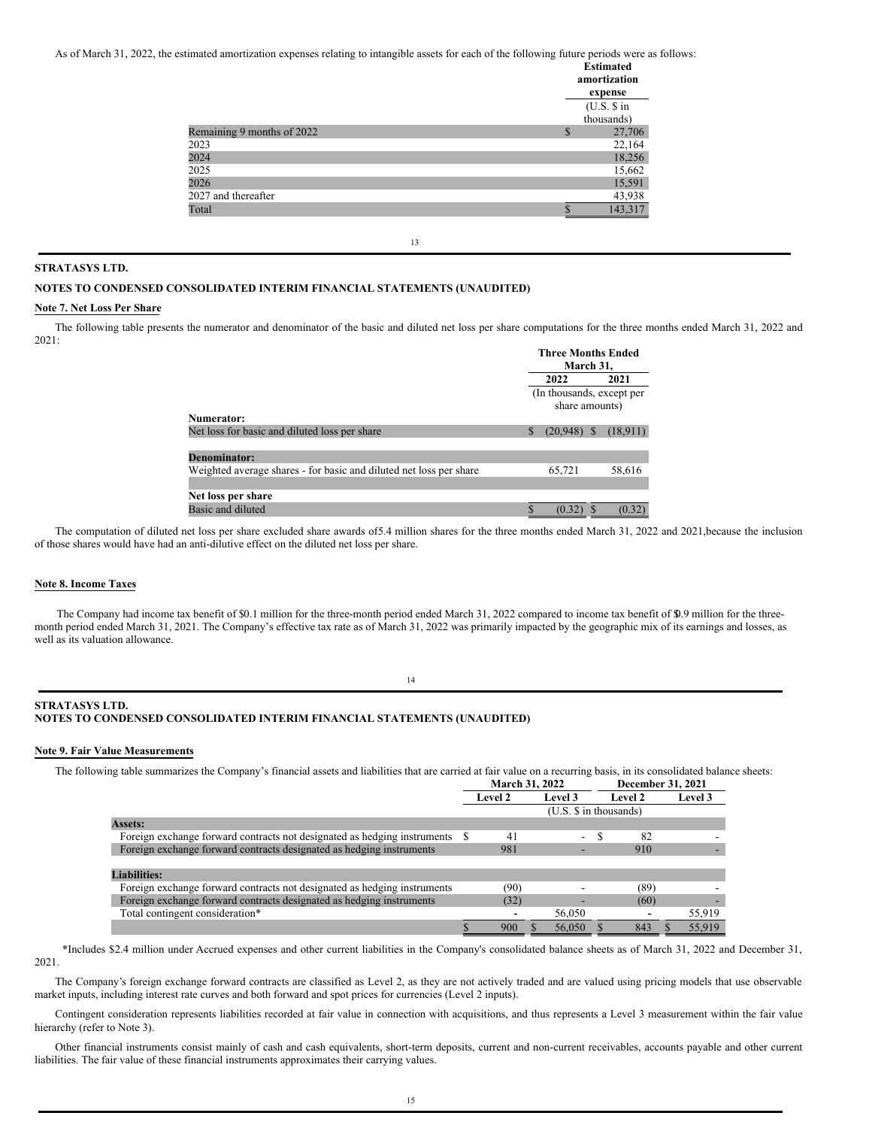As of March 31, 2022, the estimated amortization expenses relating to intangible assets for each of the following future periods were as follows:

|                            |              | <b>Estimated</b><br>amortization<br>expense |
|----------------------------|--------------|---------------------------------------------|
|                            |              | (U.S. \$in                                  |
|                            |              | thousands)                                  |
| Remaining 9 months of 2022 | $\mathbb{S}$ | 27,706                                      |
| 2023                       |              | 22,164                                      |
| 2024                       |              | 18,256                                      |
| 2025                       |              | 15,662                                      |
| 2026                       |              | 15,591                                      |
| 2027 and thereafter        |              | 43,938                                      |
| Total                      | ¢            | 143,317                                     |
|                            |              |                                             |

13

## **STRATASYS LTD.**

## **NOTES TO CONDENSED CONSOLIDATED INTERIM FINANCIAL STATEMENTS (UNAUDITED)**

## **Note 7. Net Loss Per Share**

The following table presents the numerator and denominator of the basic and diluted net loss per share computations for the three months ended March 31, 2022 and 2021: **Three Months Ended**

|                                                                    | титее вношив ричей<br>March 31,             |           |          |          |
|--------------------------------------------------------------------|---------------------------------------------|-----------|----------|----------|
|                                                                    |                                             | 2022      |          | 2021     |
|                                                                    | (In thousands, except per<br>share amounts) |           |          |          |
| Numerator:                                                         |                                             |           |          |          |
| Net loss for basic and diluted loss per share                      | \$                                          | (20, 948) | <b>S</b> | (18,911) |
|                                                                    |                                             |           |          |          |
| <b>Denominator:</b>                                                |                                             |           |          |          |
| Weighted average shares - for basic and diluted net loss per share |                                             | 65,721    |          | 58,616   |
|                                                                    |                                             |           |          |          |
| Net loss per share                                                 |                                             |           |          |          |
| Basic and diluted                                                  |                                             | (0.32)    |          | (0.32)   |

The computation of diluted net loss per share excluded share awards of5.4 million shares for the three months ended March 31, 2022 and 2021,because the inclusion of those shares would have had an anti-dilutive effect on the diluted net loss per share.

## **Note 8. Income Taxes**

The Company had income tax benefit of \$0.1 million for the three-month period ended March 31, 2022 compared to income tax benefit of \$0.9 million for the threemonth period ended March 31, 2021. The Company's effective tax rate as of March 31, 2022 was primarily impacted by the geographic mix of its earnings and losses, as well as its valuation allowance.

14

## **STRATASYS LTD.**

## **NOTES TO CONDENSED CONSOLIDATED INTERIM FINANCIAL STATEMENTS (UNAUDITED)**

#### **Note 9. Fair Value Measurements**

The following table summarizes the Company's financial assets and liabilities that are carried at fair value on a recurring basis, in its consolidated balance sheets:

|                                                                             | March 31, 2022 |         |        |    |         |  |                   |
|-----------------------------------------------------------------------------|----------------|---------|--------|----|---------|--|-------------------|
|                                                                             | <b>Level 2</b> | Level 3 |        |    | Level 2 |  | Level 3           |
| $(U.S. \$ \$ in thousands)                                                  |                |         |        |    |         |  |                   |
|                                                                             |                |         |        |    |         |  |                   |
| Foreign exchange forward contracts not designated as hedging instruments \$ | 41             |         | ÷.     | -S | 82      |  |                   |
|                                                                             | 981            |         |        |    | 910     |  |                   |
|                                                                             |                |         |        |    |         |  |                   |
|                                                                             |                |         |        |    |         |  |                   |
|                                                                             | (90)           |         |        |    | (89)    |  |                   |
|                                                                             | (32)           |         |        |    | (60)    |  |                   |
|                                                                             |                |         | 56,050 |    |         |  | 55,919            |
|                                                                             | 900            |         | 56,050 |    | 843     |  | 55,919            |
|                                                                             |                |         |        |    |         |  | December 31, 2021 |

\*Includes \$2.4 million under Accrued expenses and other current liabilities in the Company's consolidated balance sheets as of March 31, 2022 and December 31, 2021.

The Company's foreign exchange forward contracts are classified as Level 2, as they are not actively traded and are valued using pricing models that use observable market inputs, including interest rate curves and both forward and spot prices for currencies (Level 2 inputs).

Contingent consideration represents liabilities recorded at fair value in connection with acquisitions, and thus represents a Level 3 measurement within the fair value hierarchy (refer to Note 3).

Other financial instruments consist mainly of cash and cash equivalents, short-term deposits, current and non-current receivables, accounts payable and other current liabilities. The fair value of these financial instruments approximates their carrying values.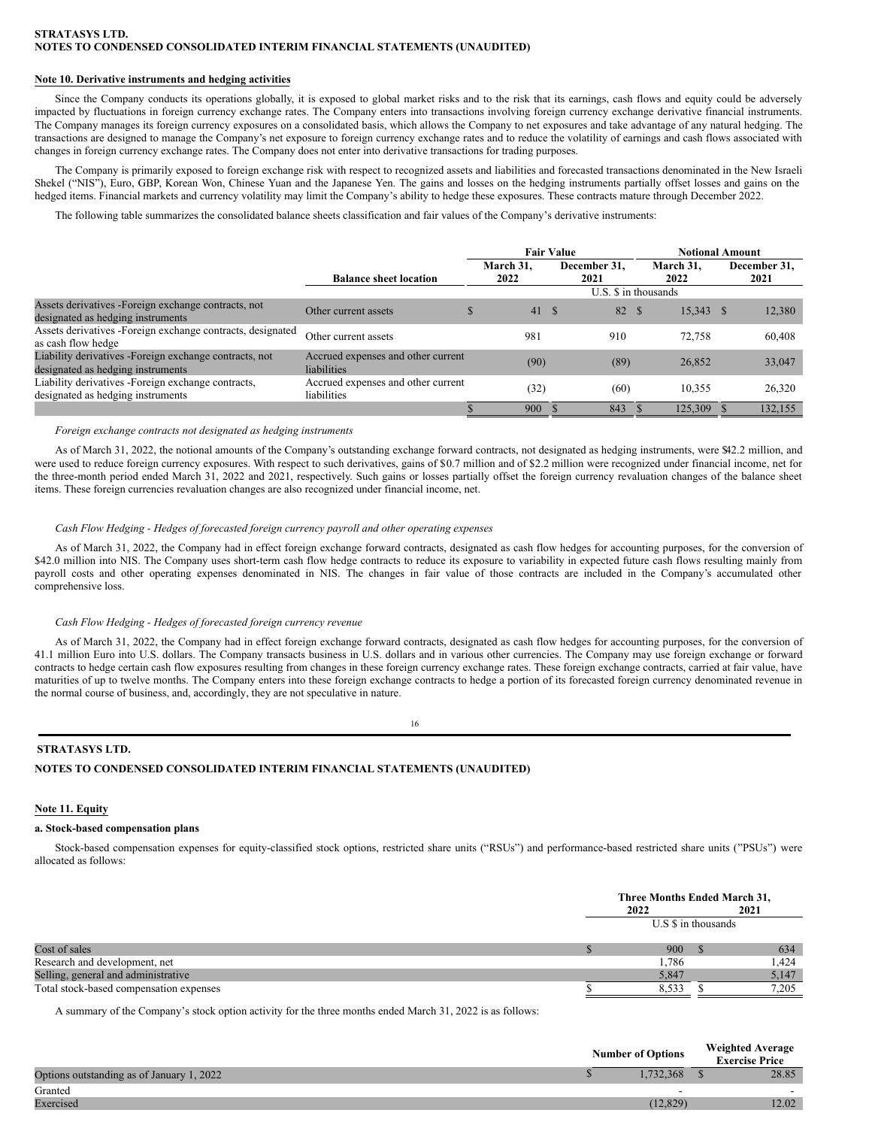## **Note 10. Derivative instruments and hedging activities**

Since the Company conducts its operations globally, it is exposed to global market risks and to the risk that its earnings, cash flows and equity could be adversely impacted by fluctuations in foreign currency exchange rates. The Company enters into transactions involving foreign currency exchange derivative financial instruments. The Company manages its foreign currency exposures on a consolidated basis, which allows the Company to net exposures and take advantage of any natural hedging. The transactions are designed to manage the Company's net exposure to foreign currency exchange rates and to reduce the volatility of earnings and cash flows associated with changes in foreign currency exchange rates. The Company does not enter into derivative transactions for trading purposes.

The Company is primarily exposed to foreign exchange risk with respect to recognized assets and liabilities and forecasted transactions denominated in the New Israeli Shekel ("NIS"), Euro, GBP, Korean Won, Chinese Yuan and the Japanese Yen. The gains and losses on the hedging instruments partially offset losses and gains on the hedged items. Financial markets and currency volatility may limit the Company's ability to hedge these exposures. These contracts mature through December 2022.

The following table summarizes the consolidated balance sheets classification and fair values of the Company's derivative instruments:

|                                                                                              |                                                   | <b>Fair Value</b> |                   |      |                      |  | <b>Notional Amount</b> |  |                      |  |  |  |
|----------------------------------------------------------------------------------------------|---------------------------------------------------|-------------------|-------------------|------|----------------------|--|------------------------|--|----------------------|--|--|--|
|                                                                                              | <b>Balance sheet location</b>                     |                   | March 31.<br>2022 |      | December 31.<br>2021 |  | March 31.<br>2022      |  | December 31,<br>2021 |  |  |  |
|                                                                                              | U.S. \$ in thousands                              |                   |                   |      |                      |  |                        |  |                      |  |  |  |
| Assets derivatives -Foreign exchange contracts, not<br>designated as hedging instruments     | Other current assets                              |                   | 41                | - \$ | 82 \$                |  | $15,343$ \$            |  | 12,380               |  |  |  |
| Assets derivatives - Foreign exchange contracts, designated<br>as cash flow hedge            | Other current assets                              |                   | 981               |      | 910                  |  | 72.758                 |  | 60,408               |  |  |  |
| Liability derivatives - Foreign exchange contracts, not<br>designated as hedging instruments | Accrued expenses and other current<br>liabilities |                   | (90)              |      | (89)                 |  | 26,852                 |  | 33,047               |  |  |  |
| Liability derivatives - Foreign exchange contracts,<br>designated as hedging instruments     | Accrued expenses and other current<br>liabilities |                   | (32)              |      | (60)                 |  | 10.355                 |  | 26,320               |  |  |  |
|                                                                                              |                                                   |                   | 900               |      | 843                  |  | 125,309                |  | 132,155              |  |  |  |

## *Foreign exchange contracts not designated as hedging instruments*

As of March 31, 2022, the notional amounts of the Company's outstanding exchange forward contracts, not designated as hedging instruments, were \$42.2 million, and were used to reduce foreign currency exposures. With respect to such derivatives, gains of \$0.7 million and of \$2.2 million were recognized under financial income, net for the three-month period ended March 31, 2022 and 2021, respectively. Such gains or losses partially offset the foreign currency revaluation changes of the balance sheet items. These foreign currencies revaluation changes are also recognized under financial income, net.

## *Cash Flow Hedging - Hedges of forecasted foreign currency payroll and other operating expenses*

As of March 31, 2022, the Company had in effect foreign exchange forward contracts, designated as cash flow hedges for accounting purposes, for the conversion of \$42.0 million into NIS. The Company uses short-term cash flow hedge contracts to reduce its exposure to variability in expected future cash flows resulting mainly from payroll costs and other operating expenses denominated in NIS. The changes in fair value of those contracts are included in the Company's accumulated other comprehensive loss.

#### *Cash Flow Hedging - Hedges of forecasted foreign currency revenue*

As of March 31, 2022, the Company had in effect foreign exchange forward contracts, designated as cash flow hedges for accounting purposes, for the conversion of 41.1 million Euro into U.S. dollars. The Company transacts business in U.S. dollars and in various other currencies. The Company may use foreign exchange or forward contracts to hedge certain cash flow exposures resulting from changes in these foreign currency exchange rates. These foreign exchange contracts, carried at fair value, have maturities of up to twelve months. The Company enters into these foreign exchange contracts to hedge a portion of its forecasted foreign currency denominated revenue in the normal course of business, and, accordingly, they are not speculative in nature.

16

## **STRATASYS LTD.**

## **NOTES TO CONDENSED CONSOLIDATED INTERIM FINANCIAL STATEMENTS (UNAUDITED)**

## **Note 11. Equity**

### **a. Stock-based compensation plans**

Stock-based compensation expenses for equity-classified stock options, restricted share units ("RSUs") and performance-based restricted share units ("PSUs") were allocated as follows:

|                                         | Three Months Ended March 31,<br>2021<br>2022 |                     |  |  |  |
|-----------------------------------------|----------------------------------------------|---------------------|--|--|--|
|                                         |                                              | U.S \$ in thousands |  |  |  |
| Cost of sales                           | 900                                          | 634                 |  |  |  |
| Research and development, net           | 1,786                                        | 1,424               |  |  |  |
| Selling, general and administrative     | 5,847                                        | 5,147               |  |  |  |
| Total stock-based compensation expenses | 8.533                                        | 7.205               |  |  |  |

A summary of the Company's stock option activity for the three months ended March 31, 2022 is as follows:

|                                           | <b>Number of Options</b> | <b>Weighted Average</b><br><b>Exercise Price</b> |
|-------------------------------------------|--------------------------|--------------------------------------------------|
| Options outstanding as of January 1, 2022 | .732.368                 | 28.85                                            |
| Granted                                   | -                        | $\overline{\phantom{0}}$                         |
| Exercised                                 | (12.829)                 | 12.02                                            |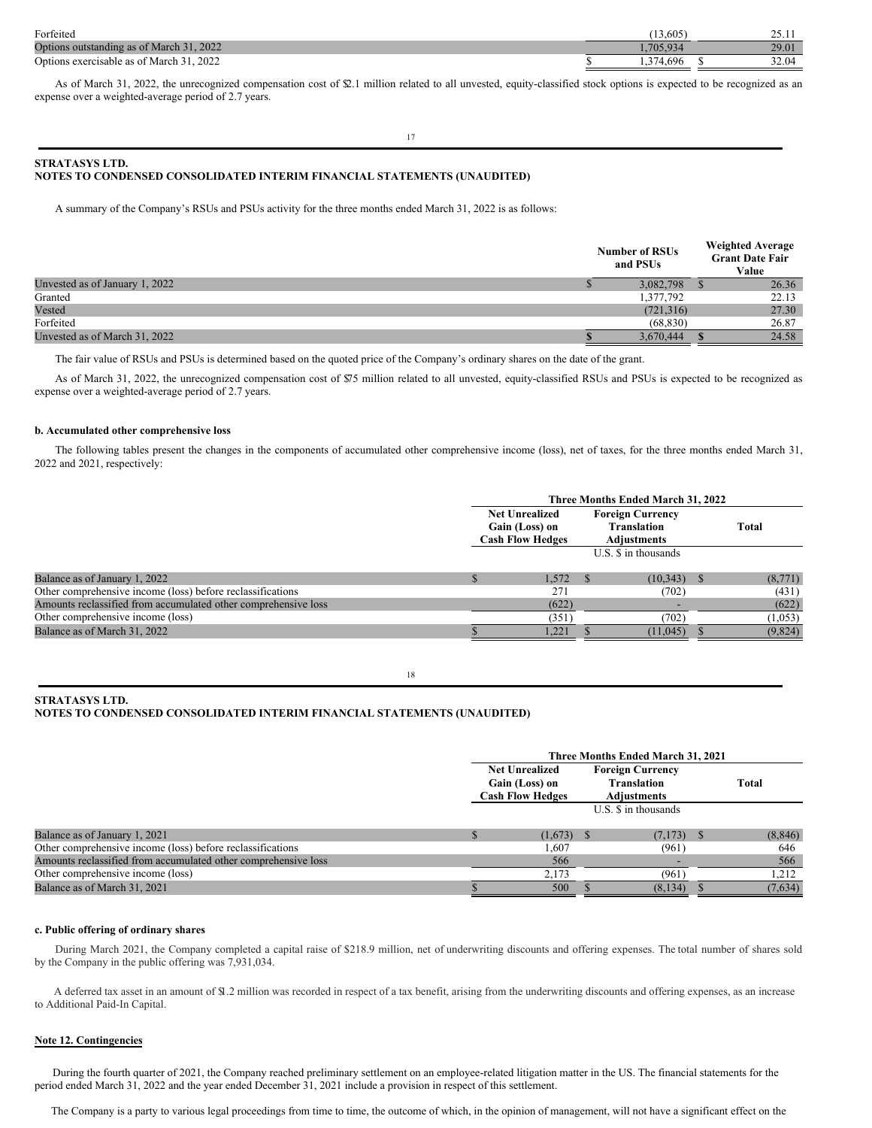| Forfeited                                       | $.5.605^{\circ}$ |       |
|-------------------------------------------------|------------------|-------|
| Options outstanding as of March 31, 2022        |                  | 29.01 |
| 2022<br>Options o<br>s exercisable as of March- | .696             | 32.04 |

As of March 31, 2022, the unrecognized compensation cost of \$2.1 million related to all unvested, equity-classified stock options is expected to be recognized as an expense over a weighted-average period of 2.7 years.

17

## **STRATASYS LTD. NOTES TO CONDENSED CONSOLIDATED INTERIM FINANCIAL STATEMENTS (UNAUDITED)**

A summary of the Company's RSUs and PSUs activity for the three months ended March 31, 2022 is as follows:

|                                | <b>Number of RSUs</b><br>and PSUs |            |  |       |
|--------------------------------|-----------------------------------|------------|--|-------|
| Unvested as of January 1, 2022 |                                   | 3,082,798  |  | 26.36 |
| Granted                        |                                   | 1,377,792  |  | 22.13 |
| Vested                         |                                   | (721, 316) |  | 27.30 |
| Forfeited                      |                                   | (68, 830)  |  | 26.87 |
| Unvested as of March 31, 2022  |                                   | 3,670,444  |  | 24.58 |

The fair value of RSUs and PSUs is determined based on the quoted price of the Company's ordinary shares on the date of the grant.

As of March 31, 2022, the unrecognized compensation cost of \$75 million related to all unvested, equity-classified RSUs and PSUs is expected to be recognized as expense over a weighted-average period of 2.7 years.

## **b. Accumulated other comprehensive loss**

The following tables present the changes in the components of accumulated other comprehensive income (loss), net of taxes, for the three months ended March 31, 2022 and 2021, respectively:

|                                                                | Three Months Ended March 31, 2022                                                                                                         |                      |         |  |  |  |
|----------------------------------------------------------------|-------------------------------------------------------------------------------------------------------------------------------------------|----------------------|---------|--|--|--|
|                                                                | <b>Foreign Currency</b><br><b>Net Unrealized</b><br><b>Translation</b><br>Gain (Loss) on<br><b>Cash Flow Hedges</b><br><b>Adjustments</b> |                      |         |  |  |  |
|                                                                |                                                                                                                                           | U.S. \$ in thousands |         |  |  |  |
| Balance as of January 1, 2022                                  | 1.572                                                                                                                                     | $(10,343)$ \$        | (8,771) |  |  |  |
| Other comprehensive income (loss) before reclassifications     | 271                                                                                                                                       | (702)                | (431)   |  |  |  |
| Amounts reclassified from accumulated other comprehensive loss | (622)                                                                                                                                     |                      | (622)   |  |  |  |
| Other comprehensive income (loss)                              | (351)                                                                                                                                     | (702)                | (1,053) |  |  |  |
| Balance as of March 31, 2022                                   | 1.221                                                                                                                                     | (11, 045)            | (9,824) |  |  |  |

18

## **STRATASYS LTD. NOTES TO CONDENSED CONSOLIDATED INTERIM FINANCIAL STATEMENTS (UNAUDITED)**

|                                                                | Three Months Ended March 31, 2021                                  |              |  |                                                                     |  |          |  |
|----------------------------------------------------------------|--------------------------------------------------------------------|--------------|--|---------------------------------------------------------------------|--|----------|--|
|                                                                | <b>Net Unrealized</b><br>Gain (Loss) on<br><b>Cash Flow Hedges</b> |              |  | <b>Foreign Currency</b><br><b>Translation</b><br><b>Adjustments</b> |  | Total    |  |
|                                                                |                                                                    |              |  | U.S. \$ in thousands                                                |  |          |  |
| Balance as of January 1, 2021                                  |                                                                    | $(1,673)$ \$ |  | $(7,173)$ \$                                                        |  | (8, 846) |  |
| Other comprehensive income (loss) before reclassifications     |                                                                    | 1,607        |  | (961)                                                               |  | 646      |  |
| Amounts reclassified from accumulated other comprehensive loss |                                                                    | 566          |  |                                                                     |  | 566      |  |
| Other comprehensive income (loss)                              |                                                                    | 2,173        |  | (961)                                                               |  | 1,212    |  |
| Balance as of March 31, 2021                                   |                                                                    | 500          |  | (8, 134)                                                            |  | (7,634)  |  |

## **c. Public offering of ordinary shares**

During March 2021, the Company completed a capital raise of \$218.9 million, net of underwriting discounts and offering expenses. The total number of shares sold by the Company in the public offering was 7,931,034.

A deferred tax asset in an amount of \$1.2 million was recorded in respect of a tax benefit, arising from the underwriting discounts and offering expenses, as an increase to Additional Paid-In Capital.

## **Note 12. Contingencies**

During the fourth quarter of 2021, the Company reached preliminary settlement on an employee-related litigation matter in the US. The financial statements for the period ended March 31, 2022 and the year ended December 31, 2021 include a provision in respect of this settlement.

The Company is a party to various legal proceedings from time to time, the outcome of which, in the opinion of management, will not have a significant effect on the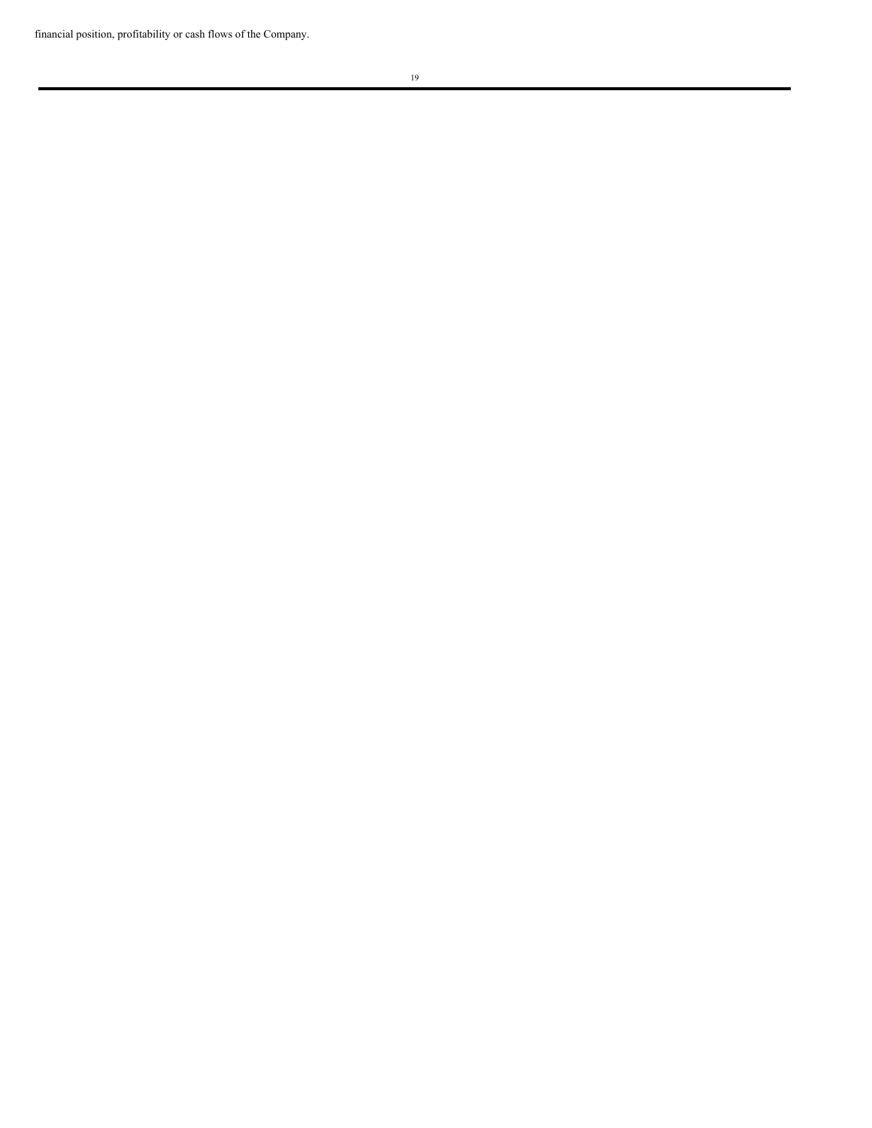financial position, profitability or cash flows of the Company.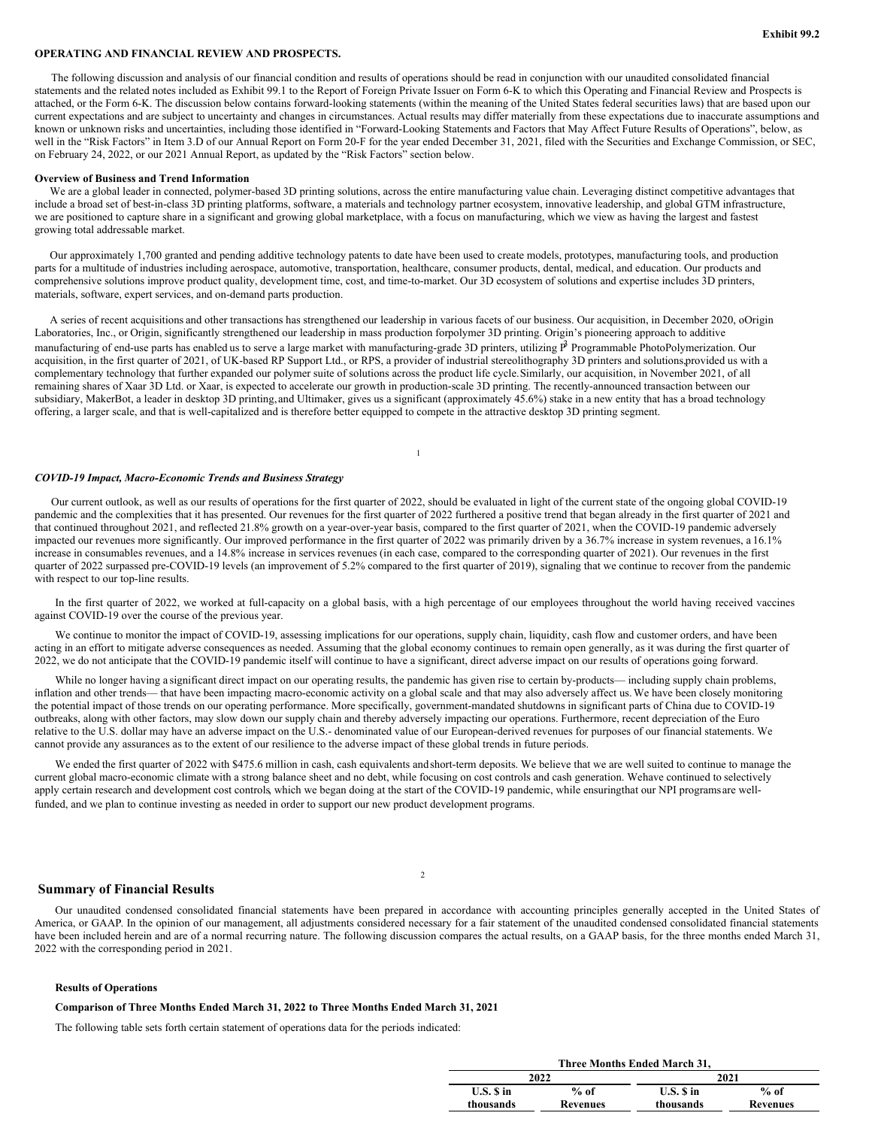## **OPERATING AND FINANCIAL REVIEW AND PROSPECTS.**

The following discussion and analysis of our financial condition and results of operations should be read in conjunction with our unaudited consolidated financial statements and the related notes included as Exhibit 99.1 to the Report of Foreign Private Issuer on Form 6-K to which this Operating and Financial Review and Prospects is attached, or the Form 6-K. The discussion below contains forward-looking statements (within the meaning of the United States federal securities laws) that are based upon our current expectations and are subject to uncertainty and changes in circumstances. Actual results may differ materially from these expectations due to inaccurate assumptions and known or unknown risks and uncertainties, including those identified in "Forward-Looking Statements and Factors that May Affect Future Results of Operations", below, as well in the "Risk Factors" in Item 3.D of our Annual Report on Form 20-F for the year ended December 31, 2021, filed with the Securities and Exchange Commission, or SEC, on February 24, 2022, or our 2021 Annual Report, as updated by the "Risk Factors" section below.

#### **Overview of Business and Trend Information**

We are a global leader in connected, polymer-based 3D printing solutions, across the entire manufacturing value chain. Leveraging distinct competitive advantages that include a broad set of best-in-class 3D printing platforms, software, a materials and technology partner ecosystem, innovative leadership, and global GTM infrastructure, we are positioned to capture share in a significant and growing global marketplace, with a focus on manufacturing, which we view as having the largest and fastest growing total addressable market.

Our approximately 1,700 granted and pending additive technology patents to date have been used to create models, prototypes, manufacturing tools, and production parts for a multitude of industries including aerospace, automotive, transportation, healthcare, consumer products, dental, medical, and education. Our products and comprehensive solutions improve product quality, development time, cost, and time-to-market. Our 3D ecosystem of solutions and expertise includes 3D printers, materials, software, expert services, and on-demand parts production.

A series of recent acquisitions and other transactions has strengthened our leadership in various facets of our business. Our acquisition, in December 2020, oOrigin Laboratories, Inc., or Origin, significantly strengthened our leadership in mass production forpolymer 3D printing. Origin's pioneering approach to additive manufacturing of end-use parts has enabled us to serve a large market with manufacturing-grade 3D printers, utilizing P<sup>3</sup> Programmable PhotoPolymerization. Our acquisition, in the first quarter of 2021, of UK-based RP Support Ltd., or RPS, a provider of industrial stereolithography 3D printers and solutions,provided us with a complementary technology that further expanded our polymer suite of solutions across the product life cycle.Similarly, our acquisition, in November 2021, of all remaining shares of Xaar 3D Ltd. or Xaar, is expected to accelerate our growth in production-scale 3D printing. The recently-announced transaction between our subsidiary, MakerBot, a leader in desktop 3D printing, and Ultimaker, gives us a significant (approximately 45.6%) stake in a new entity that has a broad technology offering, a larger scale, and that is well-capitalized and is therefore better equipped to compete in the attractive desktop 3D printing segment.

## *COVID-19 Impact, Macro-Economic Trends and Business Strategy*

Our current outlook, as well as our results of operations for the first quarter of 2022, should be evaluated in light of the current state of the ongoing global COVID-19 pandemic and the complexities that it has presented. Our revenues for the first quarter of 2022 furthered a positive trend that began already in the first quarter of 2021 and that continued throughout 2021, and reflected 21.8% growth on a year-over-year basis, compared to the first quarter of 2021, when the COVID-19 pandemic adversely impacted our revenues more significantly. Our improved performance in the first quarter of 2022 was primarily driven by a 36.7% increase in system revenues, a 16.1% increase in consumables revenues, and a 14.8% increase in services revenues (in each case, compared to the corresponding quarter of 2021). Our revenues in the first quarter of 2022 surpassed pre-COVID-19 levels (an improvement of 5.2% compared to the first quarter of 2019), signaling that we continue to recover from the pandemic with respect to our top-line results.

1

In the first quarter of 2022, we worked at full-capacity on a global basis, with a high percentage of our employees throughout the world having received vaccines against COVID-19 over the course of the previous year.

We continue to monitor the impact of COVID-19, assessing implications for our operations, supply chain, liquidity, cash flow and customer orders, and have been acting in an effort to mitigate adverse consequences as needed. Assuming that the global economy continues to remain open generally, as it was during the first quarter of 2022, we do not anticipate that the COVID-19 pandemic itself will continue to have a significant, direct adverse impact on our results of operations going forward.

While no longer having a significant direct impact on our operating results, the pandemic has given rise to certain by-products— including supply chain problems, inflation and other trends— that have been impacting macro-economic activity on a global scale and that may also adversely affect us.We have been closely monitoring the potential impact of those trends on our operating performance. More specifically, government-mandated shutdowns in significant parts of China due to COVID-19 outbreaks, along with other factors, may slow down our supply chain and thereby adversely impacting our operations. Furthermore, recent depreciation of the Euro relative to the U.S. dollar may have an adverse impact on the U.S.- denominated value of our European-derived revenues for purposes of our financial statements. We cannot provide any assurances as to the extent of our resilience to the adverse impact of these global trends in future periods.

We ended the first quarter of 2022 with \$475.6 million in cash, cash equivalents and short-term deposits. We believe that we are well suited to continue to manage the current global macro-economic climate with a strong balance sheet and no debt, while focusing on cost controls and cash generation. Wehave continued to selectively apply certain research and development cost controls, which we began doing at the start of the COVID-19 pandemic, while ensuringthat our NPI programs are wellfunded, and we plan to continue investing as needed in order to support our new product development programs.

## **Summary of Financial Results**

Our unaudited condensed consolidated financial statements have been prepared in accordance with accounting principles generally accepted in the United States of America, or GAAP. In the opinion of our management, all adjustments considered necessary for a fair statement of the unaudited condensed consolidated financial statements have been included herein and are of a normal recurring nature. The following discussion compares the actual results, on a GAAP basis, for the three months ended March 31, 2022 with the corresponding period in 2021.

 $\overline{2}$ 

#### **Results of Operations**

#### **Comparison of Three Months Ended March 31, 2022 to Three Months Ended March 31, 2021**

The following table sets forth certain statement of operations data for the periods indicated:

| Three Months Ended March 31. |                 |           |          |  |  |  |
|------------------------------|-----------------|-----------|----------|--|--|--|
|                              | 2022            |           | 2021     |  |  |  |
| U.S. S in                    | $%$ of          | U.S. S in | $%$ of   |  |  |  |
| thousands                    | <b>Revenues</b> | thousands | Revenues |  |  |  |
|                              |                 |           |          |  |  |  |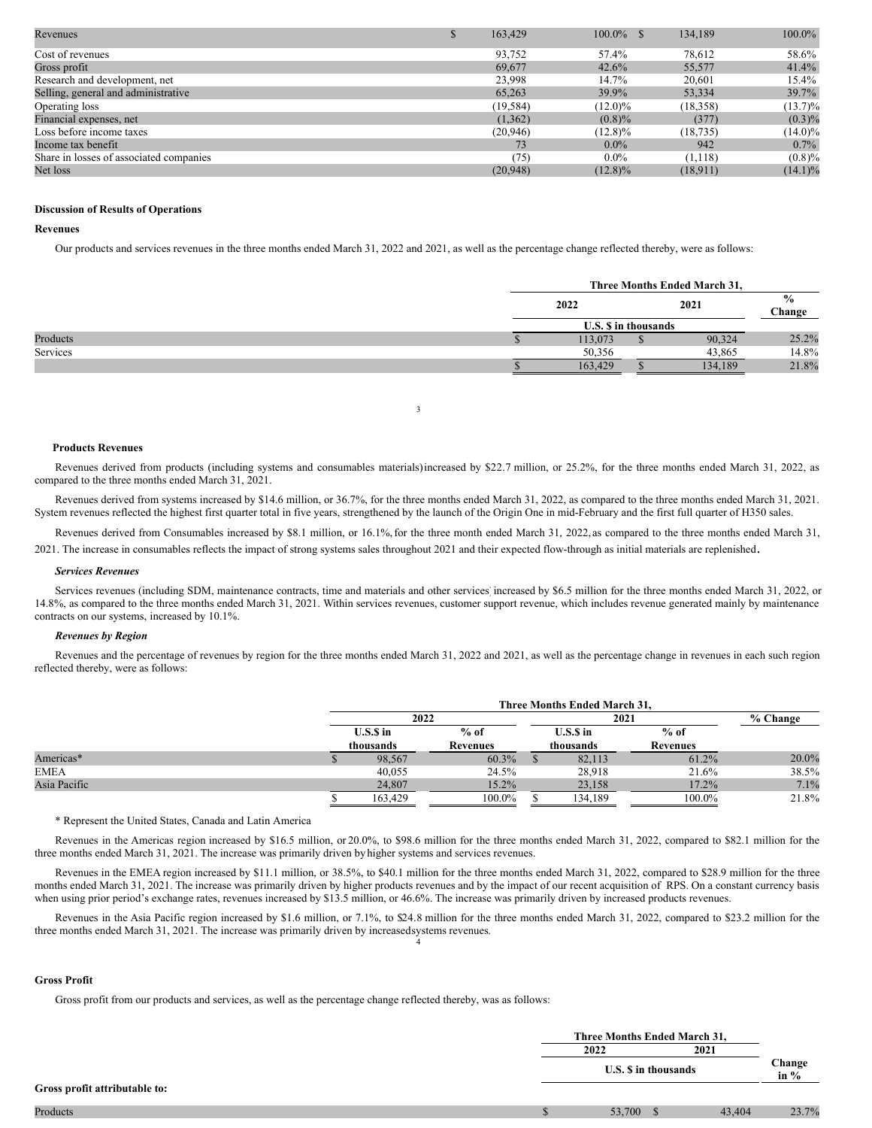| Revenues                                | 163,429   | $100.0\%$ \$ | 134,189   | $100.0\%$  |
|-----------------------------------------|-----------|--------------|-----------|------------|
| Cost of revenues                        | 93,752    | 57.4%        | 78,612    | 58.6%      |
| Gross profit                            | 69,677    | 42.6%        | 55,577    | 41.4%      |
| Research and development, net           | 23,998    | 14.7%        | 20,601    | 15.4%      |
| Selling, general and administrative     | 65,263    | 39.9%        | 53,334    | 39.7%      |
| Operating loss                          | (19, 584) | $(12.0)\%$   | (18,358)  | $(13.7)\%$ |
| Financial expenses, net                 | (1,362)   | $(0.8)\%$    | (377)     | $(0.3)\%$  |
| Loss before income taxes                | (20, 946) | $(12.8)\%$   | (18, 735) | $(14.0)\%$ |
| Income tax benefit                      | 73        | $0.0\%$      | 942       | $0.7\%$    |
| Share in losses of associated companies | (75)      | $0.0\%$      | (1, 118)  | $(0.8)\%$  |
| Net loss                                | (20,948)  | $(12.8)\%$   | (18,911)  | $(14.1)\%$ |

## **Discussion of Results of Operations**

## **Revenues**

Our products and services revenues in the three months ended March 31, 2022 and 2021, as well as the percentage change reflected thereby, were as follows:

|          |              | Three Months Ended March 31, |   |                         |       |
|----------|--------------|------------------------------|---|-------------------------|-------|
|          | 2021<br>2022 |                              |   | $\frac{0}{0}$<br>Change |       |
|          |              | <b>U.S. S</b> in thousands   |   |                         |       |
| Products |              | 113,073                      | Φ | 90,324                  | 25.2% |
| Services |              | 50,356                       |   | 43.865                  | 14.8% |
|          |              | 163,429                      |   | 134,189                 | 21.8% |

## **Products Revenues**

Revenues derived from products (including systems and consumables materials)increased by \$22.7 million, or 25.2%, for the three months ended March 31, 2022, as compared to the three months ended March 31, 2021.

3

Revenues derived from systems increased by \$14.6 million, or 36.7%, for the three months ended March 31, 2022, as compared to the three months ended March 31, 2021. System revenues reflected the highest first quarter total in five years, strengthened by the launch of the Origin One in mid-February and the first full quarter of H350 sales.

Revenues derived from Consumables increased by \$8.1 million, or 16.1%, for the three month ended March 31, 2022, as compared to the three months ended March 31,

2021. The increase in consumables reflects the impact of strong systems sales throughout <sup>2021</sup> and their expected flow-through as initial materials are replenished.

#### *Services Revenues*

Services revenues (including SDM, maintenance contracts, time and materials and other services increased by \$6.5 million for the three months ended March 31, 2022, or 14.8%, as compared to the three months ended March 31, 2021. Within services revenues, customer support revenue, which includes revenue generated mainly by maintenance contracts on our systems, increased by 10.1%.

#### *Revenues by Region*

Revenues and the percentage of revenues by region for the three months ended March 31, 2022 and 2021, as well as the percentage change in revenues in each such region reflected thereby, were as follows:

|              | Three Months Ended March 31. |          |                         |         |                 |            |
|--------------|------------------------------|----------|-------------------------|---------|-----------------|------------|
|              | 2022                         |          |                         |         | 2021            | $%$ Change |
|              | $U.S.S$ in                   | $%$ of   | $U.S.S$ in<br>thousands |         | $%$ of          |            |
|              | thousands                    | Revenues |                         |         | <b>Revenues</b> |            |
| Americas*    | 98,567                       | 60.3%    |                         | 82,113  | 61.2%           | 20.0%      |
| <b>EMEA</b>  | 40.055                       | 24.5%    |                         | 28.918  | 21.6%           | 38.5%      |
| Asia Pacific | 24,807                       | $15.2\%$ |                         | 23,158  | 17.2%           | 7.1%       |
|              | 163.429                      | 100.0%   |                         | 134.189 | 100.0%          | 21.8%      |

\* Represent the United States, Canada and Latin America

Revenues in the Americas region increased by \$16.5 million, or 20.0%, to \$98.6 million for the three months ended March 31, 2022, compared to \$82.1 million for the three months ended March 31, 2021. The increase was primarily driven by higher systems and services revenues.

Revenues in the EMEA region increased by \$11.1 million, or 38.5%, to \$40.1 million for the three months ended March 31, 2022, compared to \$28.9 million for the three months ended March 31, 2021. The increase was primarily driven by higher products revenues and by the impact of our recent acquisition of RPS. On a constant currency basis when using prior period's exchange rates, revenues increased by \$13.5 million, or 46.6%. The increase was primarily driven by increased products revenues.

Revenues in the Asia Pacific region increased by \$1.6 million, or 7.1%, to \$24.8 million for the three months ended March 31, 2022, compared to \$23.2 million for the three months ended March 31, 2021. The increase was primarily driven by increasedsystems revenues. 4

#### **Gross Profit**

Gross profit from our products and services, as well as the percentage change reflected thereby, was as follows:

|                               |    | Three Months Ended March 31, |  |        |                  |      |  |  |  |  |  |  |  |
|-------------------------------|----|------------------------------|--|--------|------------------|------|--|--|--|--|--|--|--|
|                               |    | 2022                         |  |        |                  | 2021 |  |  |  |  |  |  |  |
|                               |    | U.S. S in thousands          |  |        | Change<br>in $%$ |      |  |  |  |  |  |  |  |
| Gross profit attributable to: |    |                              |  |        |                  |      |  |  |  |  |  |  |  |
| Products                      | мF | 53,700                       |  | 43,404 | 23.7%            |      |  |  |  |  |  |  |  |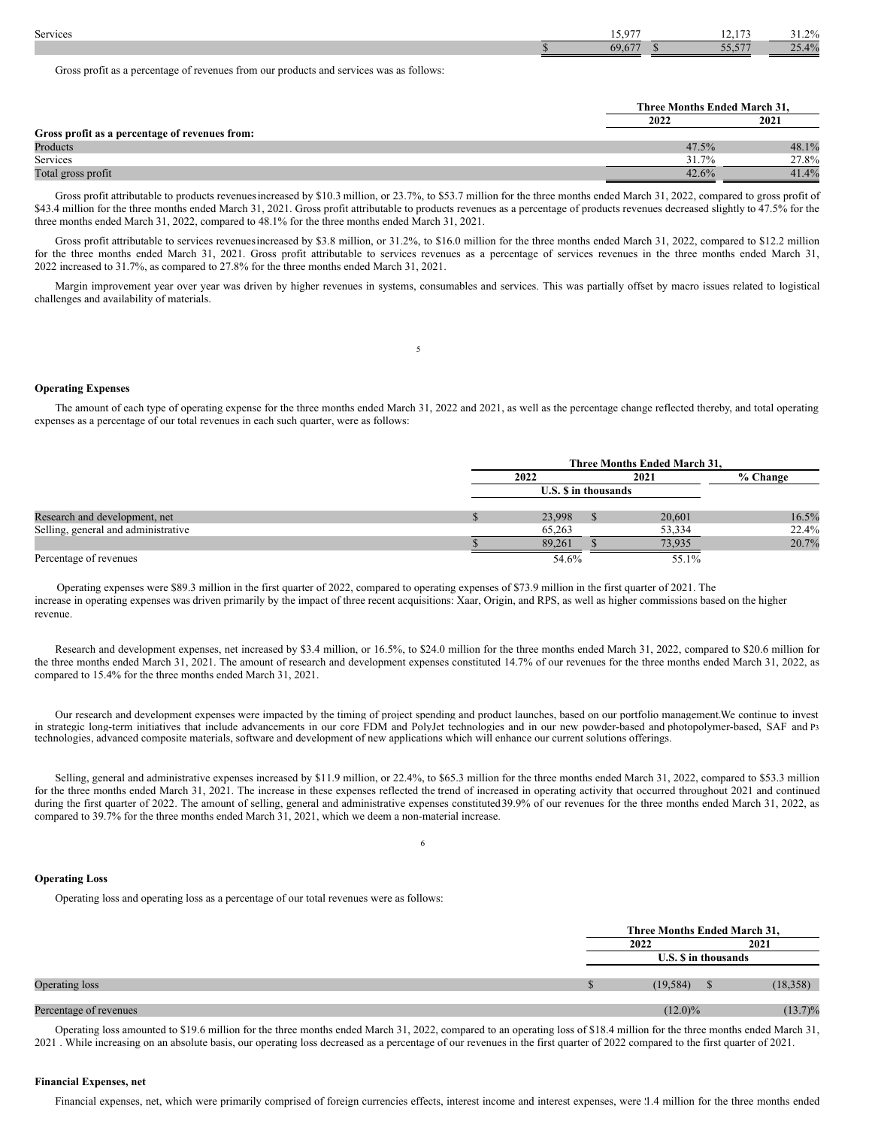| Services | 15.077 | $-1 - 1$        | 20/<br>- 1.470 |
|----------|--------|-----------------|----------------|
|          |        | -- ---<br>JJ,J' | $4\%$          |
|          |        |                 |                |

Gross profit as a percentage of revenues from our products and services was as follows:

|                                                | Three Months Ended March 31. |       |
|------------------------------------------------|------------------------------|-------|
|                                                | 2022                         | 2021  |
| Gross profit as a percentage of revenues from: |                              |       |
| Products                                       | 47.5%                        | 48.1% |
| Services                                       | 31.7%                        | 27.8% |
| Total gross profit                             | 42.6%                        | 41.4% |

Gross profit attributable to products revenues increased by \$10.3 million, or 23.7%, to \$53.7 million for the three months ended March 31, 2022, compared to gross profit of \$43.4 million for the three months ended March 31, 2021. Gross profit attributable to products revenues as a percentage of products revenues decreased slightly to 47.5% for the three months ended March 31, 2022, compared to 48.1% for the three months ended March 31, 2021.

Gross profit attributable to services revenues increased by \$3.8 million, or 31.2%, to \$16.0 million for the three months ended March 31, 2022, compared to \$12.2 million for the three months ended March 31, 2021. Gross profit attributable to services revenues as a percentage of services revenues in the three months ended March 31, 2022 increased to 31.7%, as compared to 27.8% for the three months ended March 31, 2021.

Margin improvement year over year was driven by higher revenues in systems, consumables and services. This was partially offset by macro issues related to logistical challenges and availability of materials.

5

#### **Operating Expenses**

The amount of each type of operating expense for the three months ended March 31, 2022 and 2021, as well as the percentage change reflected thereby, and total operating expenses as a percentage of our total revenues in each such quarter, were as follows:

|                                     |  | Three Months Ended March 31, |  |        |       |  |            |
|-------------------------------------|--|------------------------------|--|--------|-------|--|------------|
|                                     |  | 2022                         |  | 2021   |       |  | $%$ Change |
|                                     |  | <b>U.S. S</b> in thousands   |  |        |       |  |            |
| Research and development, net       |  | 23,998                       |  | 20,601 | 16.5% |  |            |
| Selling, general and administrative |  | 65,263                       |  | 53,334 | 22.4% |  |            |
|                                     |  | 89.261                       |  | 73,935 | 20.7% |  |            |
| Percentage of revenues              |  | 54.6%                        |  | 55.1%  |       |  |            |

Operating expenses were \$89.3 million in the first quarter of 2022, compared to operating expenses of \$73.9 million in the first quarter of 2021. The increase in operating expenses was driven primarily by the impact of three recent acquisitions: Xaar, Origin, and RPS, as well as higher commissions based on the higher revenue.

Research and development expenses, net increased by \$3.4 million, or 16.5%, to \$24.0 million for the three months ended March 31, 2022, compared to \$20.6 million for the three months ended March 31, 2021. The amount of research and development expenses constituted 14.7% of our revenues for the three months ended March 31, 2022, as compared to 15.4% for the three months ended March 31, 2021.

Our research and development expenses were impacted by the timing of project spending and product launches, based on our portfolio management.We continue to invest in strategic long-term initiatives that include advancements in our core FDM and PolyJet technologies and in our new powder-based and photopolymer-based, SAF and P3 technologies, advanced composite materials, software and development of new applications which will enhance our current solutions offerings.

Selling, general and administrative expenses increased by \$11.9 million, or 22.4%, to \$65.3 million for the three months ended March 31, 2022, compared to \$53.3 million for the three months ended March 31, 2021. The increase in these expenses reflected the trend of increased in operating activity that occurred throughout 2021 and continued during the first quarter of 2022. The amount of selling, general and administrative expenses constituted 39.9% of our revenues for the three months ended March 31, 2022, as compared to 39.7% for the three months ended March 31, 2021, which we deem a non-material increase.

6

### **Operating Loss**

Operating loss and operating loss as a percentage of our total revenues were as follows:

|                        | Three Months Ended March 31, |  |            |  |
|------------------------|------------------------------|--|------------|--|
|                        | 2022                         |  | 2021       |  |
|                        | U.S. S in thousands          |  |            |  |
| Operating loss         | (19, 584)                    |  | (18, 358)  |  |
| Percentage of revenues | $(12.0)\%$                   |  | $(13.7)\%$ |  |

Operating loss amounted to \$19.6 million for the three months ended March 31, 2022, compared to an operating loss of \$18.4 million for the three months ended March 31, 2021 . While increasing on an absolute basis, our operating loss decreased as a percentage of our revenues in the first quarter of 2022 compared to the first quarter of 2021.

## **Financial Expenses, net**

Financial expenses, net, which were primarily comprised of foreign currencies effects, interest income and interest expenses, were  $1.4$  million for the three months ended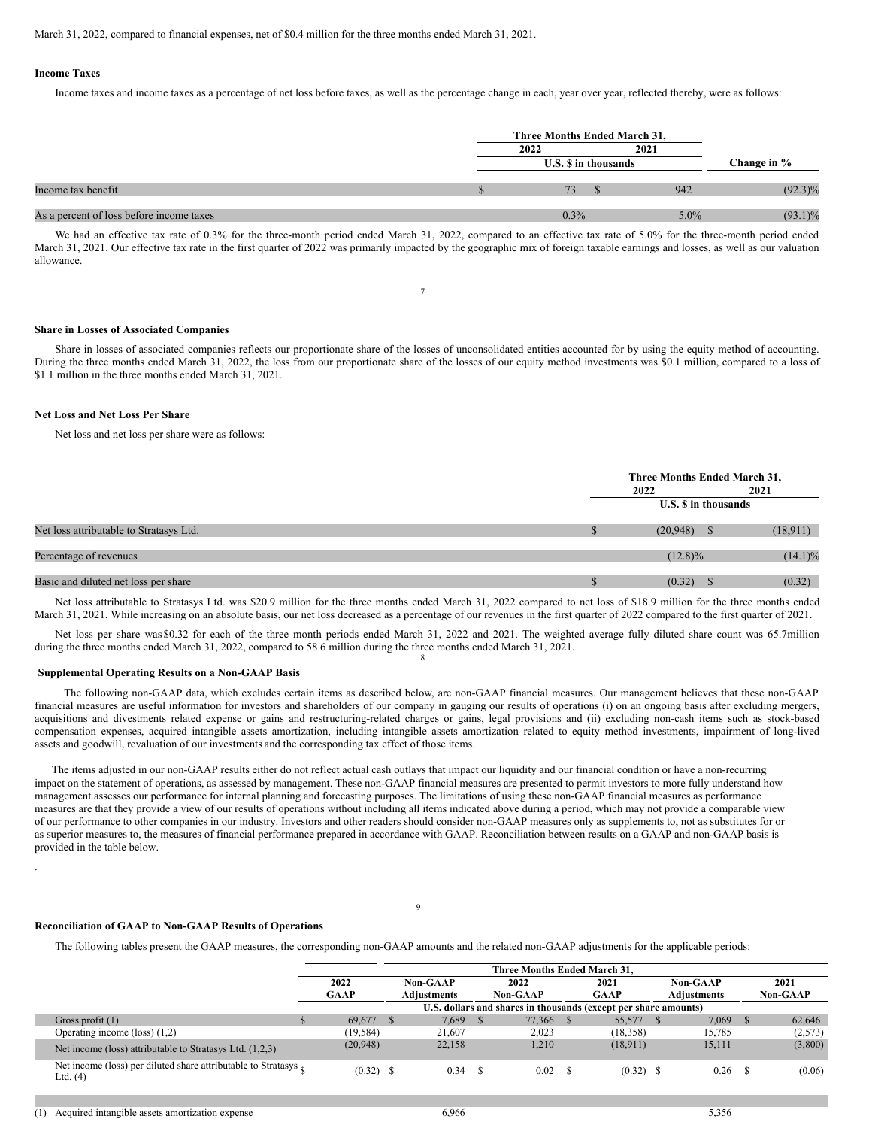<span id="page-16-0"></span>March 31, 2022, compared to financial expenses, net of \$0.4 million for the three months ended March 31, 2021.

#### **Income Taxes**

Income taxes and income taxes as a percentage of net loss before taxes, as well as the percentage change in each, year over year, reflected thereby, were as follows:

|                                          | Three Months Ended March 31, |         |             |  |  |  |
|------------------------------------------|------------------------------|---------|-------------|--|--|--|
|                                          | 2022                         | 2021    |             |  |  |  |
|                                          | <b>U.S. S</b> in thousands   |         | Change in % |  |  |  |
| Income tax benefit                       |                              | 942     | $(92.3)\%$  |  |  |  |
| As a percent of loss before income taxes | 0.3%                         | $5.0\%$ | $(93.1)\%$  |  |  |  |

We had an effective tax rate of 0.3% for the three-month period ended March 31, 2022, compared to an effective tax rate of 5.0% for the three-month period ended March 31, 2021. Our effective tax rate in the first quarter of 2022 was primarily impacted by the geographic mix of foreign taxable earnings and losses, as well as our valuation allowance.

7

#### **Share in Losses of Associated Companies**

Share in losses of associated companies reflects our proportionate share of the losses of unconsolidated entities accounted for by using the equity method of accounting. During the three months ended March 31, 2022, the loss from our proportionate share of the losses of our equity method investments was \$0.1 million, compared to a loss of \$1.1 million in the three months ended March 31, 2021.

## **Net Loss and Net Loss Per Share**

Net loss and net loss per share were as follows:

|                                         | Three Months Ended March 31, |  |            |  |  |  |
|-----------------------------------------|------------------------------|--|------------|--|--|--|
|                                         | 2022                         |  | 2021       |  |  |  |
|                                         | <b>U.S. S</b> in thousands   |  |            |  |  |  |
| Net loss attributable to Stratasys Ltd. | $(20,948)$ \$                |  | (18,911)   |  |  |  |
| Percentage of revenues                  | $(12.8)\%$                   |  | $(14.1)\%$ |  |  |  |
| Basic and diluted net loss per share    | (0.32)                       |  | (0.32)     |  |  |  |

Net loss attributable to Stratasys Ltd. was \$20.9 million for the three months ended March 31, 2022 compared to net loss of \$18.9 million for the three months ended March 31, 2021. While increasing on an absolute basis, our net loss decreased as a percentage of our revenues in the first quarter of 2022 compared to the first quarter of 2021.

Net loss per share was \$0.32 for each of the three month periods ended March 31, 2022 and 2021. The weighted average fully diluted share count was 65.7million during the three months ended March 31, 2022, compared to 58.6 million during the three months ended March 31, 2021. 8

## **Supplemental Operating Results on a Non-GAAP Basis**

The following non-GAAP data, which excludes certain items as described below, are non-GAAP financial measures. Our management believes that these non-GAAP financial measures are useful information for investors and shareholders of our company in gauging our results of operations (i) on an ongoing basis after excluding mergers, acquisitions and divestments related expense or gains and restructuring-related charges or gains, legal provisions and (ii) excluding non-cash items such as stock-based compensation expenses, acquired intangible assets amortization, including intangible assets amortization related to equity method investments, impairment of long-lived assets and goodwill, revaluation of our investments and the corresponding tax effect of those items.

The items adjusted in our non-GAAP results either do not reflect actual cash outlays that impact our liquidity and our financial condition or have a non-recurring impact on the statement of operations, as assessed by management. These non-GAAP financial measures are presented to permit investors to more fully understand how management assesses our performance for internal planning and forecasting purposes. The limitations of using these non-GAAP financial measures as performance measures are that they provide a view of our results of operations without including all items indicated above during a period, which may not provide a comparable view of our performance to other companies in our industry. Investors and other readers should consider non-GAAP measures only as supplements to, not as substitutes for or as superior measures to, the measures of financial performance prepared in accordance with GAAP. Reconciliation between results on a GAAP and non-GAAP basis is provided in the table below.

#### **Reconciliation of GAAP to Non-GAAP Results of Operations**

The following tables present the GAAP measures, the corresponding non-GAAP amounts and the related non-GAAP adjustments for the applicable periods:

|                                                                                        |                                                                 | Three Months Ended March 31. |          |                    |  |          |  |             |  |                    |  |                 |
|----------------------------------------------------------------------------------------|-----------------------------------------------------------------|------------------------------|----------|--------------------|--|----------|--|-------------|--|--------------------|--|-----------------|
|                                                                                        | 2022                                                            |                              | Non-GAAP |                    |  | 2022     |  | 2021        |  | <b>Non-GAAP</b>    |  | 2021            |
|                                                                                        |                                                                 | <b>GAAP</b>                  |          | <b>Adiustments</b> |  | Non-GAAP |  | <b>GAAP</b> |  | <b>Adiustments</b> |  | <b>Non-GAAP</b> |
|                                                                                        | U.S. dollars and shares in thousands (except per share amounts) |                              |          |                    |  |          |  |             |  |                    |  |                 |
| Gross profit $(1)$                                                                     |                                                                 | 69,677                       |          | 7.689              |  | 77.366   |  | 55,577      |  | 7.069              |  | 62,646          |
| Operating income $(\text{loss})$ $(1,2)$                                               |                                                                 | (19, 584)                    |          | 21,607             |  | 2,023    |  | (18, 358)   |  | 15.785             |  | (2,573)         |
| Net income (loss) attributable to Stratasys Ltd. (1,2,3)                               |                                                                 | (20,948)                     |          | 22,158             |  | 1,210    |  | (18,911)    |  | 15,111             |  | (3,800)         |
| Net income (loss) per diluted share attributable to Stratasys $_{\odot}$<br>Ltd. $(4)$ |                                                                 | $(0.32)$ \$                  |          | 0.34               |  | 0.02     |  | $(0.32)$ \$ |  | $0.26$ \$          |  | (0.06)          |

<sup>.</sup>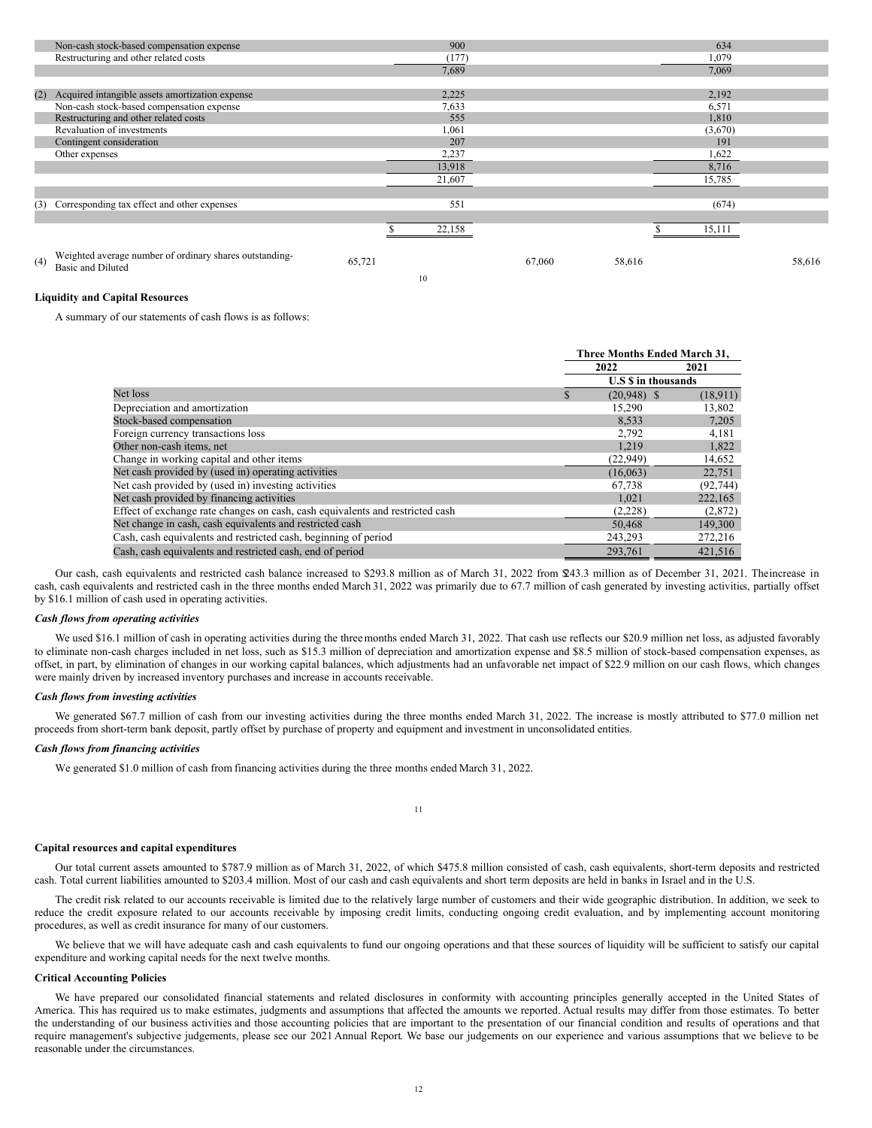|     | Non-cash stock-based compensation expense                                           |        | 900    |        |        | 634     |        |
|-----|-------------------------------------------------------------------------------------|--------|--------|--------|--------|---------|--------|
|     | Restructuring and other related costs                                               |        | (177)  |        |        | 1,079   |        |
|     |                                                                                     |        | 7,689  |        |        | 7,069   |        |
|     |                                                                                     |        |        |        |        |         |        |
| (2) | Acquired intangible assets amortization expense                                     |        | 2,225  |        |        | 2,192   |        |
|     | Non-cash stock-based compensation expense                                           |        | 7,633  |        |        | 6,571   |        |
|     | Restructuring and other related costs                                               |        | 555    |        |        | 1,810   |        |
|     | Revaluation of investments                                                          |        | 1,061  |        |        | (3,670) |        |
|     | Contingent consideration                                                            |        | 207    |        |        | 191     |        |
|     | Other expenses                                                                      |        | 2,237  |        |        | 1,622   |        |
|     |                                                                                     |        | 13,918 |        |        | 8,716   |        |
|     |                                                                                     |        | 21,607 |        |        | 15,785  |        |
|     |                                                                                     |        |        |        |        |         |        |
|     | (3) Corresponding tax effect and other expenses                                     |        | 551    |        |        | (674)   |        |
|     |                                                                                     |        |        |        |        |         |        |
|     |                                                                                     |        | 22,158 |        |        | 15,111  |        |
|     |                                                                                     |        |        |        |        |         |        |
| (4) | Weighted average number of ordinary shares outstanding-<br><b>Basic and Diluted</b> | 65,721 |        | 67,060 | 58,616 |         | 58,616 |

10

## **Liquidity and Capital Resources**

A summary of our statements of cash flows is as follows:

|                                                                               | Three Months Ended March 31, |           |  |  |
|-------------------------------------------------------------------------------|------------------------------|-----------|--|--|
|                                                                               | 2022                         | 2021      |  |  |
|                                                                               | <b>U.S S</b> in thousands    |           |  |  |
| Net loss                                                                      | $(20,948)$ \$                | (18,911)  |  |  |
| Depreciation and amortization                                                 | 15,290                       | 13,802    |  |  |
| Stock-based compensation                                                      | 8.533                        | 7,205     |  |  |
| Foreign currency transactions loss                                            | 2,792                        | 4,181     |  |  |
| Other non-cash items, net                                                     | 1,219                        | 1,822     |  |  |
| Change in working capital and other items                                     | (22, 949)                    | 14,652    |  |  |
| Net cash provided by (used in) operating activities                           | (16.063)                     | 22,751    |  |  |
| Net cash provided by (used in) investing activities                           | 67.738                       | (92, 744) |  |  |
| Net cash provided by financing activities                                     | 1,021                        | 222,165   |  |  |
| Effect of exchange rate changes on cash, cash equivalents and restricted cash | (2,228)                      | (2,872)   |  |  |
| Net change in cash, cash equivalents and restricted cash                      | 50,468                       | 149,300   |  |  |
| Cash, cash equivalents and restricted cash, beginning of period               | 243,293                      | 272,216   |  |  |
| Cash, cash equivalents and restricted cash, end of period                     | 293,761                      | 421.516   |  |  |

Our cash, cash equivalents and restricted cash balance increased to \$293.8 million as of March 31, 2022 from \$43.3 million as of December 31, 2021. Theincrease in cash, cash equivalents and restricted cash in the three months ended March 31, 2022 was primarily due to 67.7 million of cash generated by investing activities, partially offset by \$16.1 million of cash used in operating activities.

#### *Cash flows from operating activities*

We used \$16.1 million of cash in operating activities during the three months ended March 31, 2022. That cash use reflects our \$20.9 million net loss, as adjusted favorably to eliminate non-cash charges included in net loss, such as \$15.3 million of depreciation and amortization expense and \$8.5 million of stock-based compensation expenses, as offset, in part, by elimination of changes in our working capital balances, which adjustments had an unfavorable net impact of \$22.9 million on our cash flows, which changes were mainly driven by increased inventory purchases and increase in accounts receivable.

#### *Cash flows from investing activities*

We generated \$67.7 million of cash from our investing activities during the three months ended March 31, 2022. The increase is mostly attributed to \$77.0 million net proceeds from short-term bank deposit, partly offset by purchase of property and equipment and investment in unconsolidated entities.

## *Cash flows from financing activities*

We generated \$1.0 million of cash from financing activities during the three months ended March 31, 2022.

### 11

#### **Capital resources and capital expenditures**

Our total current assets amounted to \$787.9 million as of March 31, 2022, of which \$475.8 million consisted of cash, cash equivalents, short-term deposits and restricted cash. Total current liabilities amounted to \$203.4 million. Most of our cash and cash equivalents and short term deposits are held in banks in Israel and in the U.S.

The credit risk related to our accounts receivable is limited due to the relatively large number of customers and their wide geographic distribution. In addition, we seek to reduce the credit exposure related to our accounts receivable by imposing credit limits, conducting ongoing credit evaluation, and by implementing account monitoring procedures, as well as credit insurance for many of our customers.

We believe that we will have adequate cash and cash equivalents to fund our ongoing operations and that these sources of liquidity will be sufficient to satisfy our capital expenditure and working capital needs for the next twelve months.

## **Critical Accounting Policies**

We have prepared our consolidated financial statements and related disclosures in conformity with accounting principles generally accepted in the United States of America. This has required us to make estimates, judgments and assumptions that affected the amounts we reported. Actual results may differ from those estimates. To better the understanding of our business activities and those accounting policies that are important to the presentation of our financial condition and results of operations and that require management's subjective judgements, please see our 2021 Annual Report. We base our judgements on our experience and various assumptions that we believe to be reasonable under the circumstances.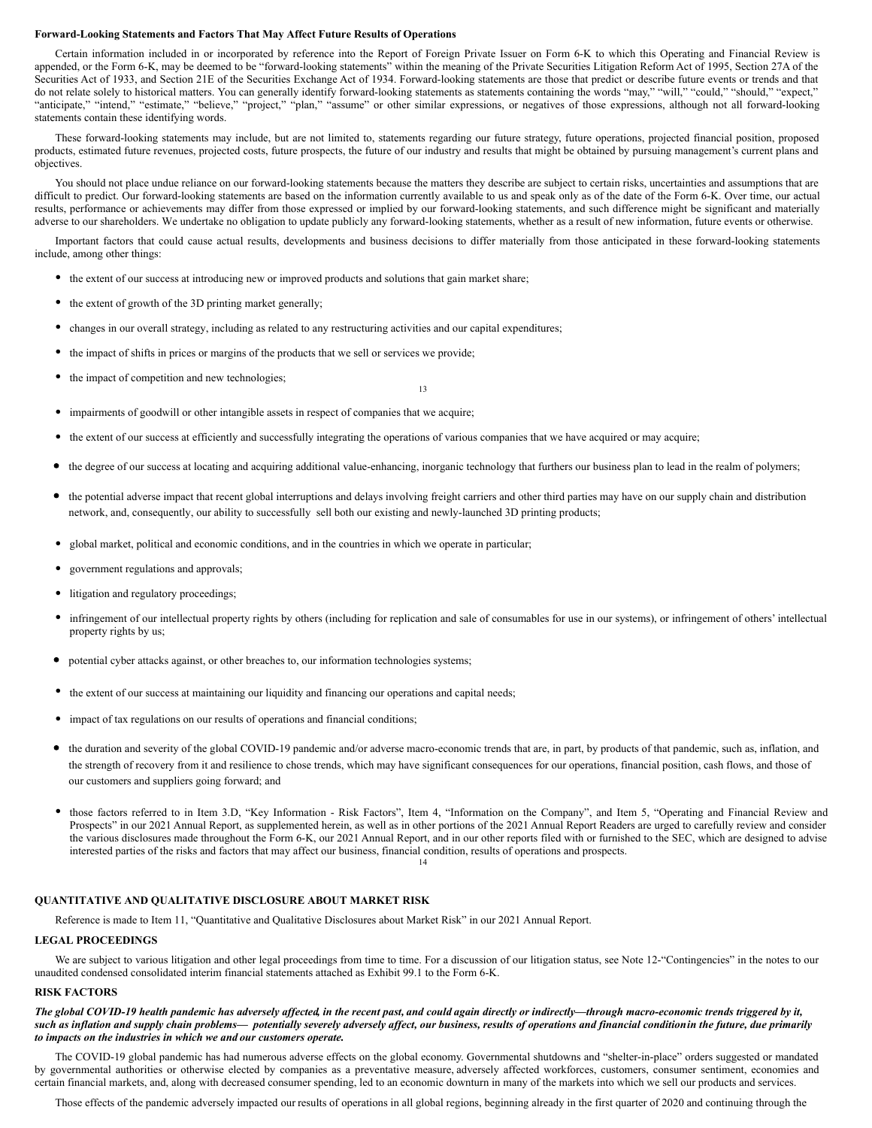#### **Forward-Looking Statements and Factors That May Affect Future Results of Operations**

Certain information included in or incorporated by reference into the Report of Foreign Private Issuer on Form 6-K to which this Operating and Financial Review is appended, or the Form 6-K, may be deemed to be "forward-looking statements" within the meaning of the Private Securities Litigation Reform Act of 1995, Section 27A of the Securities Act of 1933, and Section 21E of the Securities Exchange Act of 1934. Forward-looking statements are those that predict or describe future events or trends and that do not relate solely to historical matters. You can generally identify forward-looking statements as statements containing the words "may," "will," "could," "should," "expect," "anticipate," "intend," "estimate," "believe," "project," "plan," "assume" or other similar expressions, or negatives of those expressions, although not all forward-looking statements contain these identifying words.

These forward-looking statements may include, but are not limited to, statements regarding our future strategy, future operations, projected financial position, proposed products, estimated future revenues, projected costs, future prospects, the future of our industry and results that might be obtained by pursuing management's current plans and objectives.

You should not place undue reliance on our forward-looking statements because the matters they describe are subject to certain risks, uncertainties and assumptions that are difficult to predict. Our forward-looking statements are based on the information currently available to us and speak only as of the date of the Form 6-K. Over time, our actual results, performance or achievements may differ from those expressed or implied by our forward-looking statements, and such difference might be significant and materially adverse to our shareholders. We undertake no obligation to update publicly any forward-looking statements, whether as a result of new information, future events or otherwise.

Important factors that could cause actual results, developments and business decisions to differ materially from those anticipated in these forward-looking statements include, among other things:

- the extent of our success at introducing new or improved products and solutions that gain market share;
- the extent of growth of the 3D printing market generally;
- changes in our overall strategy, including as related to any restructuring activities and our capital expenditures;
- the impact of shifts in prices or margins of the products that we sell or services we provide;
- the impact of competition and new technologies;
- impairments of goodwill or other intangible assets in respect of companies that we acquire;
- the extent of our success at efficiently and successfully integrating the operations of various companies that we have acquired or may acquire;
- the degree of our success at locating and acquiring additional value-enhancing, inorganic technology that furthers our business plan to lead in the realm of polymers;

13

- the potential adverse impact that recent global interruptions and delays involving freight carriers and other third parties may have on our supply chain and distribution network, and, consequently, our ability to successfully sell both our existing and newly-launched 3D printing products;
- global market, political and economic conditions, and in the countries in which we operate in particular;
- government regulations and approvals;
- litigation and regulatory proceedings;
- infringement of our intellectual property rights by others (including for replication and sale of consumables for use in our systems), or infringement of others' intellectual property rights by us;
- potential cyber attacks against, or other breaches to, our information technologies systems;
- the extent of our success at maintaining our liquidity and financing our operations and capital needs;
- impact of tax regulations on our results of operations and financial conditions;
- the duration and severity of the global COVID-19 pandemic and/or adverse macro-economic trends that are, in part, by products of that pandemic, such as, inflation, and the strength of recovery from it and resilience to chose trends, which may have significant consequences for our operations, financial position, cash flows, and those of our customers and suppliers going forward; and
- those factors referred to in Item 3.D, "Key Information Risk Factors", Item 4, "Information on the Company", and Item 5, "Operating and Financial Review and Prospects" in our 2021 Annual Report, as supplemented herein, as well as in other portions of the 2021 Annual Report Readers are urged to carefully review and consider the various disclosures made throughout the Form 6-K, our 2021 Annual Report, and in our other reports filed with or furnished to the SEC, which are designed to advise interested parties of the risks and factors that may affect our business, financial condition, results of operations and prospects. 14

## **QUANTITATIVE AND QUALITATIVE DISCLOSURE ABOUT MARKET RISK**

Reference is made to Item 11, "Quantitative and Qualitative Disclosures about Market Risk" in our 2021 Annual Report.

## **LEGAL PROCEEDINGS**

We are subject to various litigation and other legal proceedings from time to time. For a discussion of our litigation status, see Note 12-"Contingencies" in the notes to our unaudited condensed consolidated interim financial statements attached as Exhibit 99.1 to the Form 6-K.

## **RISK FACTORS**

The global COVID-19 health pandemic has adversely affected, in the recent past, and could again directly or indirectly—through macro-economic trends triggered by it, such as inflation and supply chain problems— potentially severely adversely affect, our business, results of operations and financial condition in the future, due primarily *to impacts on the industries in which we and our customers operate.*

The COVID-19 global pandemic has had numerous adverse effects on the global economy. Governmental shutdowns and "shelter-in-place" orders suggested or mandated by governmental authorities or otherwise elected by companies as a preventative measure, adversely affected workforces, customers, consumer sentiment, economies and certain financial markets, and, along with decreased consumer spending, led to an economic downturn in many of the markets into which we sell our products and services.

Those effects of the pandemic adversely impacted our results of operations in all global regions, beginning already in the first quarter of 2020 and continuing through the